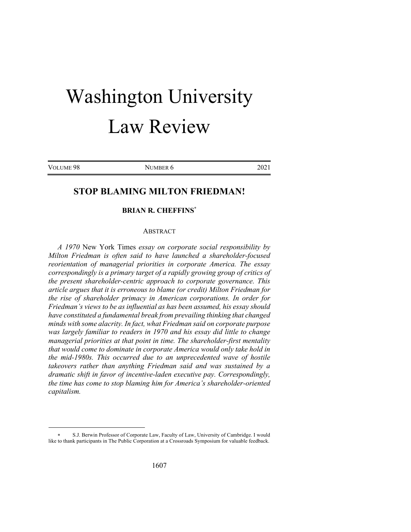# Washington University Law Review

| VOLUME <sub>98</sub> | NUMBER 6 | 202 <sub>1</sub><br>$ -$ |
|----------------------|----------|--------------------------|
|                      |          |                          |

# **STOP BLAMING MILTON FRIEDMAN!**

# **BRIAN R. CHEFFINS\***

### ABSTRACT

*A 1970* New York Times *essay on corporate social responsibility by Milton Friedman is often said to have launched a shareholder-focused reorientation of managerial priorities in corporate America. The essay correspondingly is a primary target of a rapidly growing group of critics of the present shareholder-centric approach to corporate governance. This article argues that it is erroneous to blame (or credit) Milton Friedman for the rise of shareholder primacy in American corporations. In order for Friedman's views to be as influential as has been assumed, his essay should have constituted a fundamental break from prevailing thinking that changed minds with some alacrity. In fact, what Friedman said on corporate purpose was largely familiar to readers in 1970 and his essay did little to change managerial priorities at that point in time. The shareholder-first mentality that would come to dominate in corporate America would only take hold in the mid-1980s. This occurred due to an unprecedented wave of hostile takeovers rather than anything Friedman said and was sustained by a dramatic shift in favor of incentive-laden executive pay. Correspondingly, the time has come to stop blaming him for America's shareholder-oriented capitalism.*

<sup>\*</sup> S.J. Berwin Professor of Corporate Law, Faculty of Law, University of Cambridge. I would like to thank participants in The Public Corporation at a Crossroads Symposium for valuable feedback.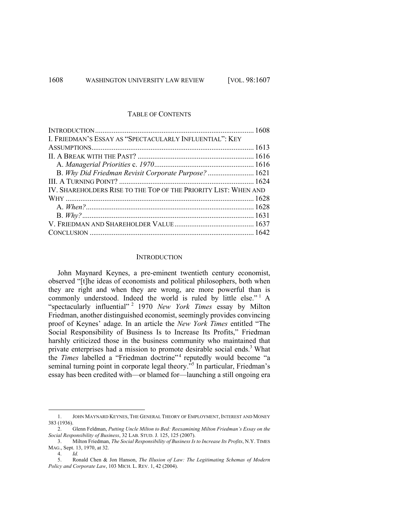#### TABLE OF CONTENTS

| I. FRIEDMAN'S ESSAY AS "SPECTACULARLY INFLUENTIAL": KEY         |  |  |
|-----------------------------------------------------------------|--|--|
|                                                                 |  |  |
|                                                                 |  |  |
|                                                                 |  |  |
| B. Why Did Friedman Revisit Corporate Purpose?  1621            |  |  |
|                                                                 |  |  |
| IV. SHAREHOLDERS RISE TO THE TOP OF THE PRIORITY LIST: WHEN AND |  |  |
|                                                                 |  |  |
|                                                                 |  |  |
|                                                                 |  |  |
|                                                                 |  |  |
|                                                                 |  |  |

#### INTRODUCTION

John Maynard Keynes, a pre-eminent twentieth century economist, observed "[t]he ideas of economists and political philosophers, both when they are right and when they are wrong, are more powerful than is commonly understood. Indeed the world is ruled by little else."<sup>1</sup> A "spectacularly influential" <sup>2</sup> 1970 *New York Times* essay by Milton Friedman, another distinguished economist, seemingly provides convincing proof of Keynes' adage. In an article the *New York Times* entitled "The Social Responsibility of Business Is to Increase Its Profits," Friedman harshly criticized those in the business community who maintained that private enterprises had a mission to promote desirable social ends.<sup>3</sup> What the *Times* labelled a "Friedman doctrine"<sup>4</sup> reputedly would become "a seminal turning point in corporate legal theory.<sup>35</sup> In particular, Friedman's essay has been credited with—or blamed for—launching a still ongoing era

<sup>1.</sup> JOHN MAYNARD KEYNES, THE GENERAL THEORY OF EMPLOYMENT, INTEREST AND MONEY 383 (1936).

<sup>2.</sup> Glenn Feldman, *Putting Uncle Milton to Bed: Reexamining Milton Friedman's Essay on the Social Responsibility of Business*, 32 LAB. STUD. J. 125, 125 (2007).

<sup>3.</sup> Milton Friedman, *The Social Responsibility of Business Is to Increase Its Profits*, N.Y. TIMES MAG., Sept. 13, 1970, at 32.<br>4. Id.

<sup>4.</sup> *Id.*

<sup>5.</sup> Ronald Chen & Jon Hanson, *The Illusion of Law: The Legitimating Schemas of Modern Policy and Corporate Law*, 103 MICH. L. REV. 1, 42 (2004).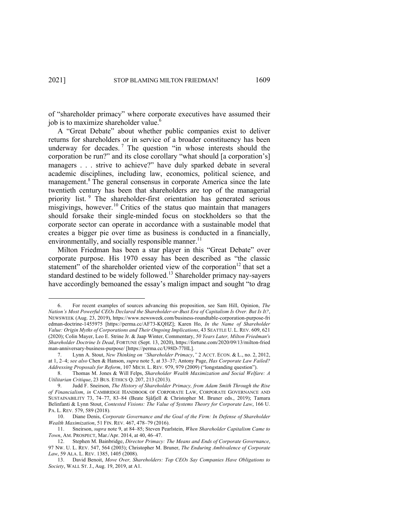of "shareholder primacy" where corporate executives have assumed their job is to maximize shareholder value.<sup>6</sup>

A "Great Debate" about whether public companies exist to deliver returns for shareholders or in service of a broader constituency has been underway for decades.<sup>7</sup> The question "in whose interests should the corporation be run?" and its close corollary "what should [a corporation's] managers . . . strive to achieve?" have duly sparked debate in several academic disciplines, including law, economics, political science, and management.<sup>8</sup> The general consensus in corporate America since the late twentieth century has been that shareholders are top of the managerial priority list.<sup>9</sup> The shareholder-first orientation has generated serious misgivings, however.<sup>10</sup> Critics of the status quo maintain that managers should forsake their single-minded focus on stockholders so that the corporate sector can operate in accordance with a sustainable model that creates a bigger pie over time as business is conducted in a financially, environmentally, and socially responsible manner.<sup>11</sup>

Milton Friedman has been a star player in this "Great Debate" over corporate purpose. His 1970 essay has been described as "the classic statement" of the shareholder oriented view of the corporation<sup>12</sup> that set a standard destined to be widely followed.<sup>13</sup> Shareholder primacy nay-sayers have accordingly bemoaned the essay's malign impact and sought "to drag

<sup>6.</sup> For recent examples of sources advancing this proposition, see Sam Hill, Opinion, *The Nation's Most Powerful CEOs Declared the Shareholder-or-Bust Era of Capitalism Is Over. But Is It?*, NEWSWEEK (Aug. 23, 2019), https://www.newsweek.com/business-roundtable-corporation-purpose-fri edman-doctrine-1455975 [https://perma.cc/AF73-KQHZ]; Karen Ho, *In the Name of Shareholder Value: Origin Myths of Corporations and Their Ongoing Implications*, 43 SEATTLE U. L. REV. 609, 621 (2020); Colin Mayer, Leo E. Strine Jr. & Jaap Winter, Commentary, *50 Years Later, Milton Friedman's Shareholder Doctrine Is Dead*, FORTUNE (Sept. 13, 2020), https://fortune.com/2020/09/13/milton-fried man-anniversary-business-purpose/ [https://perma.cc/U98D-77HL].

<sup>7.</sup> Lynn A. Stout, *New Thinking on "Shareholder Primacy*,*"* 2 ACCT. ECON. & L., no. 2, 2012, at 1, 2–4; *see also* Chen & Hanson, *supra* note 5, at 33–37; Antony Page, *Has Corporate Law Failed? Addressing Proposals for Reform*, 107 MICH. L. REV. 979, 979 (2009) ("longstanding question").

<sup>8.</sup> Thomas M. Jones & Will Felps, *Shareholder Wealth Maximization and Social Welfare: A Utilitarian Critique*, 23 BUS. ETHICS Q. 207, 213 (2013).

<sup>9.</sup> Judd F. Sneirson, *The History of Shareholder Primacy, from Adam Smith Through the Rise of Financialism*, *in* CAMBRIDGE HANDBOOK OF CORPORATE LAW, CORPORATE GOVERNANCE AND SUSTAINABILITY 73, 74–77, 83–84 (Beate Sjåfjell & Christopher M. Bruner eds., 2019); Tamara Belinfanti & Lynn Stout, *Contested Visions: The Value of Systems Theory for Corporate Law*, 166 U. PA. L. REV. 579, 589 (2018).

<sup>10.</sup> Diane Denis, *Corporate Governance and the Goal of the Firm: In Defense of Shareholder Wealth Maximization*, 51 FIN. REV. 467, 478–79 (2016).

<sup>11.</sup> Sneirson, *supra* note 9, at 84–85; Steven Pearlstein, *When Shareholder Capitalism Came to Town*, AM. PROSPECT, Mar./Apr. 2014, at 40, 46–47.

<sup>12.</sup> Stephen M. Bainbridge, *Director Primacy: The Means and Ends of Corporate Governance*, 97 NW. U. L. REV. 547, 564 (2003); Christopher M. Bruner, *The Enduring Ambivalence of Corporate Law*, 59 ALA. L. REV. 1385, 1405 (2008).

<sup>13.</sup> David Benoit, *Move Over, Shareholders: Top CEOs Say Companies Have Obligations to Society*, WALL ST. J., Aug. 19, 2019, at A1.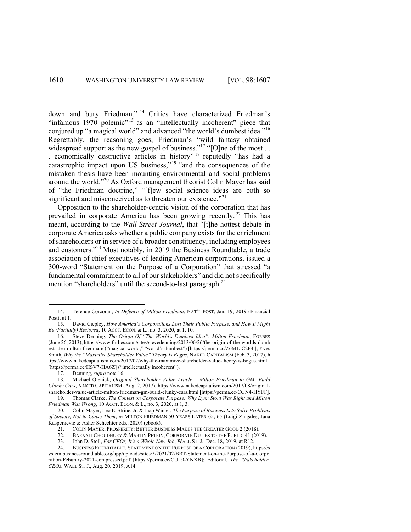down and bury Friedman." <sup>14</sup> Critics have characterized Friedman's "infamous  $1970$  polemic"<sup>15</sup> as an "intellectually incoherent" piece that conjured up "a magical world" and advanced "the world's dumbest idea."16 Regrettably, the reasoning goes, Friedman's "wild fantasy obtained widespread support as the new gospel of business."<sup>17</sup> "[O]ne of the most . . . economically destructive articles in history"  $^{18}$  reputedly "has had a catastrophic impact upon US business,"<sup>19</sup> "and the consequences of the mistaken thesis have been mounting environmental and social problems around the world."<sup>20</sup> As Oxford management theorist Colin Mayer has said of "the Friedman doctrine," "[f]ew social science ideas are both so significant and misconceived as to threaten our existence."<sup>21</sup>

Opposition to the shareholder-centric vision of the corporation that has prevailed in corporate America has been growing recently. <sup>22</sup> This has meant, according to the *Wall Street Journal*, that "[t]he hottest debate in corporate America asks whether a public company exists for the enrichment of shareholders or in service of a broader constituency, including employees and customers."23 Most notably, in 2019 the Business Roundtable, a trade association of chief executives of leading American corporations, issued a 300-word "Statement on the Purpose of a Corporation" that stressed "a fundamental commitment to all of our stakeholders" and did not specifically mention "shareholders" until the second-to-last paragraph.<sup>24</sup>

<sup>14.</sup> Terence Corcoran, *In Defence of Milton Friedman*, NAT'L POST, Jan. 19, 2019 (Financial Post), at 1.

<sup>15.</sup> David Ciepley, *How America's Corporations Lost Their Public Purpose, and How It Might Be (Partially) Restored*, 10 ACCT. ECON. & L., no. 3, 2020, at 1, 10.

<sup>16.</sup> Steve Denning, *The Origin Of "The World's Dumbest Idea": Milton Friedman*, FORBES (June 26, 2013), https://www.forbes.com/sites/stevedenning/2013/06/26/the-origin-of-the-worlds-dumb est-idea-milton-friedman/ ("magical world," "world's dumbest") [https://perma.cc/Z6ML-C2P4 ]; Yves Smith, *Why the "Maximize Shareholder Value" Theory Is Bogus*, NAKED CAPITALISM (Feb. 3, 2017), h ttps://www.nakedcapitalism.com/2017/02/why-the-maximize-shareholder-value-theory-is-bogus.html [https://perma.cc/HSV7-HA6Z] ("intellectually incoherent").

<sup>17.</sup> Denning, *supra* note 16.

<sup>18.</sup> Michael Olenick, *Original Shareholder Value Article – Milton Friedman to GM: Build Clunky Cars*, NAKED CAPITALISM (Aug. 2, 2017), https://www.nakedcapitalism.com/2017/08/originalshareholder-value-article-milton-friedman-gm-build-clunky-cars.html [https://perma.cc/CGN4-HYFF]. 19. Thomas Clarke, *The Contest on Corporate Purpose: Why Lynn Stout Was Right and Milton* 

*Friedman Was Wrong*, 10 ACCT. ECON. & L., no. 3, 2020, at 1, 3.

<sup>20.</sup> Colin Mayer, Leo E. Strine, Jr. & Jaap Winter, *The Purpose of Business Is to Solve Problems of Society, Not to Cause Them*, *in* MILTON FRIEDMAN 50 YEARS LATER 65, 65 (Luigi Zingales, Jana Kasperkevic & Asher Schechter eds., 2020) (ebook).

<sup>21.</sup> COLIN MAYER, PROSPERITY: BETTER BUSINESS MAKES THE GREATER GOOD 2 (2018).<br>22. BARNALI CHOUDHURY & MARTIN PETRIN. CORPORATE DUTIES TO THE PUBLIC 41 (20)

BARNALI CHOUDHURY & MARTIN PETRIN, CORPORATE DUTIES TO THE PUBLIC 41 (2019).

<sup>23.</sup> John D. Stoll, *For CEOs, It's a Whole New Job*, WALL ST. J., Dec. 18, 2019, at R12.

<sup>24.</sup> BUSINESS ROUNDTABLE, STATEMENT ON THE PURPOSE OF A CORPORATION (2019), https://s ystem.businessroundtable.org/app/uploads/sites/5/2021/02/BRT-Statement-on-the-Purpose-of-a-Corpo ration-Feburary-2021-compressed.pdf [https://perma.cc/CUL9-YNXB]; Editorial, *The 'Stakeholder' CEOs*, WALL ST. J., Aug. 20, 2019, A14.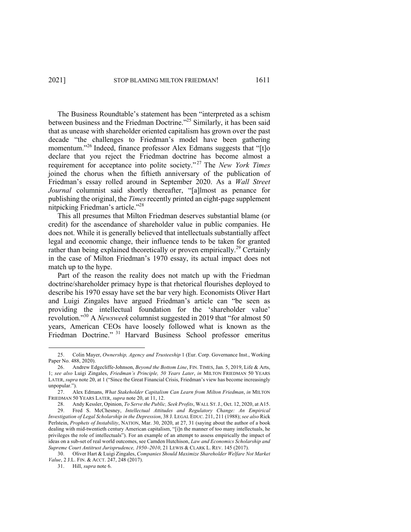The Business Roundtable's statement has been "interpreted as a schism between business and the Friedman Doctrine."<sup>25</sup> Similarly, it has been said that as unease with shareholder oriented capitalism has grown over the past decade "the challenges to Friedman's model have been gathering momentum."<sup>26</sup> Indeed, finance professor Alex Edmans suggests that "[t]o declare that you reject the Friedman doctrine has become almost a requirement for acceptance into polite society." <sup>27</sup> The *New York Times* joined the chorus when the fiftieth anniversary of the publication of Friedman's essay rolled around in September 2020. As a *Wall Street Journal* columnist said shortly thereafter, "[a]lmost as penance for publishing the original, the *Times* recently printed an eight-page supplement nitpicking Friedman's article."28

This all presumes that Milton Friedman deserves substantial blame (or credit) for the ascendance of shareholder value in public companies. He does not. While it is generally believed that intellectuals substantially affect legal and economic change, their influence tends to be taken for granted rather than being explained theoretically or proven empirically.<sup>29</sup> Certainly in the case of Milton Friedman's 1970 essay, its actual impact does not match up to the hype.

Part of the reason the reality does not match up with the Friedman doctrine/shareholder primacy hype is that rhetorical flourishes deployed to describe his 1970 essay have set the bar very high. Economists Oliver Hart and Luigi Zingales have argued Friedman's article can "be seen as providing the intellectual foundation for the 'shareholder value' revolution."30 A *Newsweek* columnist suggested in 2019 that "for almost 50 years, American CEOs have loosely followed what is known as the Friedman Doctrine." <sup>31</sup> Harvard Business School professor emeritus

31. Hill, *supra* note 6.

<sup>25.</sup> Colin Mayer, *Ownership, Agency and Trusteeship* 1 (Eur. Corp. Governance Inst., Working Paper No. 488, 2020).

<sup>26.</sup> Andrew Edgecliffe-Johnson, *Beyond the Bottom Line*, FIN. TIMES, Jan. 5, 2019, Life & Arts, 1; *see also* Luigi Zingales, *Friedman's Principle, 50 Years Later*, *in* MILTON FRIEDMAN 50 YEARS LATER, *supra* note 20, at 1 ("Since the Great Financial Crisis, Friedman's view has become increasingly unpopular.").

<sup>27.</sup> Alex Edmans, *What Stakeholder Capitalism Can Learn from Milton Friedman*, *in* MILTON FRIEDMAN 50 YEARS LATER, *supra* note 20, at 11, 12.

<sup>28.</sup> Andy Kessler, Opinion, *To Serve the Public, Seek Profits*, WALL ST.J., Oct. 12, 2020, at A15. 29. Fred S. McChesney, *Intellectual Attitudes and Regulatory Change: An Empirical Investigation of Legal Scholarship in the Depression*, 38 J. LEGAL EDUC. 211, 211 (1988); *see also* Rick Perlstein, *Prophets of Instability*, NATION, Mar. 30, 2020, at 27, 31 (saying about the author of a book dealing with mid-twentieth century American capitalism, "[i]n the manner of too many intellectuals, he privileges the role of intellectuals"). For an example of an attempt to assess empirically the impact of ideas on a sub-set of real world outcomes, see Camden Hutchison, *Law and Economics Scholarship and Supreme Court Antitrust Jurisprudence, 1950–2010*, 21 LEWIS & CLARK L. REV. 145 (2017).

<sup>30.</sup> Oliver Hart & Luigi Zingales, *Companies Should Maximize Shareholder Welfare Not Market Value*, 2 J.L. FIN. & ACCT. 247, 248 (2017).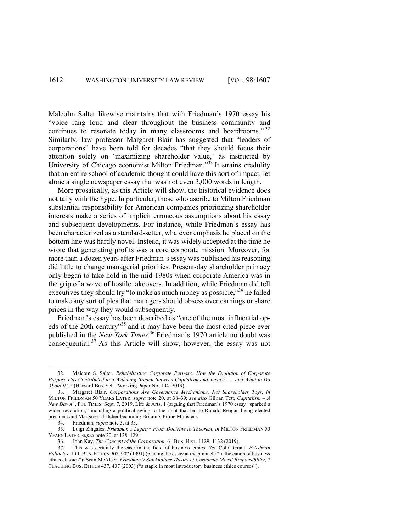Malcolm Salter likewise maintains that with Friedman's 1970 essay his "voice rang loud and clear throughout the business community and continues to resonate today in many classrooms and boardrooms."<sup>32</sup> Similarly, law professor Margaret Blair has suggested that "leaders of corporations" have been told for decades "that they should focus their attention solely on 'maximizing shareholder value,' as instructed by University of Chicago economist Milton Friedman."<sup>33</sup> It strains credulity that an entire school of academic thought could have this sort of impact, let alone a single newspaper essay that was not even 3,000 words in length.

More prosaically, as this Article will show, the historical evidence does not tally with the hype. In particular, those who ascribe to Milton Friedman substantial responsibility for American companies prioritizing shareholder interests make a series of implicit erroneous assumptions about his essay and subsequent developments. For instance, while Friedman's essay has been characterized as a standard-setter, whatever emphasis he placed on the bottom line was hardly novel. Instead, it was widely accepted at the time he wrote that generating profits was a core corporate mission. Moreover, for more than a dozen years after Friedman's essay was published his reasoning did little to change managerial priorities. Present-day shareholder primacy only began to take hold in the mid-1980s when corporate America was in the grip of a wave of hostile takeovers. In addition, while Friedman did tell executives they should try "to make as much money as possible,"<sup>34</sup> he failed to make any sort of plea that managers should obsess over earnings or share prices in the way they would subsequently.

Friedman's essay has been described as "one of the most influential opeds of the 20th century"<sup>35</sup> and it may have been the most cited piece ever published in the *New York Times*. <sup>36</sup> Friedman's 1970 article no doubt was consequential.<sup>37</sup> As this Article will show, however, the essay was not

<sup>32.</sup> Malcom S. Salter, *Rehabilitating Corporate Purpose: How the Evolution of Corporate Purpose Has Contributed to a Widening Breach Between Capitalism and Justice . . . and What to Do About It* 22 (Harvard Bus. Sch., Working Paper No. 104, 2019).

<sup>33.</sup> Margaret Blair, *Corporations Are Governance Mechanisms, Not Shareholder Toys*, *in* MILTON FRIEDMAN 50 YEARS LATER, *supra* note 20, at 38–39; *see also* Gillian Tett, *Capitalism – A New Dawn?*, FIN. TIMES, Sept. 7, 2019, Life & Arts, 1 (arguing that Friedman's 1970 essay "sparked a wider revolution," including a political swing to the right that led to Ronald Reagan being elected president and Margaret Thatcher becoming Britain's Prime Minister).

<sup>34.</sup> Friedman, *supra* note 3, at 33.

<sup>35.</sup> Luigi Zingales, *Friedman's Legacy: From Doctrine to Theorem*, *in* MILTON FRIEDMAN 50 YEARS LATER, *supra* note 20, at 128, 129.

<sup>36.</sup> John Kay, *The Concept of the Corporation*, 61 BUS. HIST. 1129, 1132 (2019).

<sup>37.</sup> This was certainly the case in the field of business ethics. *See* Colin Grant, *Friedman Fallacies*, 10 J. BUS. ETHICS 907, 907 (1991) (placing the essay at the pinnacle "in the canon of business ethics classics"); Sean McAleer, *Friedman's Stockholder Theory of Corporate Moral Responsibility*, 7 TEACHING BUS. ETHICS 437, 437 (2003) ("a staple in most introductory business ethics courses").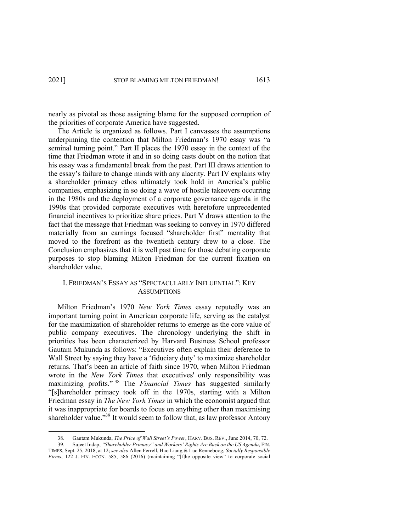nearly as pivotal as those assigning blame for the supposed corruption of the priorities of corporate America have suggested.

The Article is organized as follows. Part I canvasses the assumptions underpinning the contention that Milton Friedman's 1970 essay was "a seminal turning point." Part II places the 1970 essay in the context of the time that Friedman wrote it and in so doing casts doubt on the notion that his essay was a fundamental break from the past. Part III draws attention to the essay's failure to change minds with any alacrity. Part IV explains why a shareholder primacy ethos ultimately took hold in America's public companies, emphasizing in so doing a wave of hostile takeovers occurring in the 1980s and the deployment of a corporate governance agenda in the 1990s that provided corporate executives with heretofore unprecedented financial incentives to prioritize share prices. Part V draws attention to the fact that the message that Friedman was seeking to convey in 1970 differed materially from an earnings focused "shareholder first" mentality that moved to the forefront as the twentieth century drew to a close. The Conclusion emphasizes that it is well past time for those debating corporate purposes to stop blaming Milton Friedman for the current fixation on shareholder value.

# I. FRIEDMAN'S ESSAY AS "SPECTACULARLY INFLUENTIAL": KEY **ASSUMPTIONS**

Milton Friedman's 1970 *New York Times* essay reputedly was an important turning point in American corporate life, serving as the catalyst for the maximization of shareholder returns to emerge as the core value of public company executives. The chronology underlying the shift in priorities has been characterized by Harvard Business School professor Gautam Mukunda as follows: "Executives often explain their deference to Wall Street by saying they have a 'fiduciary duty' to maximize shareholder returns. That's been an article of faith since 1970, when Milton Friedman wrote in the *New York Times* that executives' only responsibility was maximizing profits." <sup>38</sup> The *Financial Times* has suggested similarly "[s]hareholder primacy took off in the 1970s, starting with a Milton Friedman essay in *The New York Times* in which the economist argued that it was inappropriate for boards to focus on anything other than maximising shareholder value."<sup>39</sup> It would seem to follow that, as law professor Antony

<sup>38.</sup> Gautam Mukunda, *The Price of Wall Street's Power*, HARV. BUS. REV., June 2014, 70, 72.

<sup>39.</sup> Sujeet Indap, *"Shareholder Primacy" and Workers' Rights Are Back on the US Agenda*, FIN. TIMES, Sept. 25, 2018, at 12; *see also* Allen Ferrell, Hao Liang & Luc Renneboog, *Socially Responsible Firms*, 122 J. FIN. ECON. 585, 586 (2016) (maintaining "[t]he opposite view" to corporate social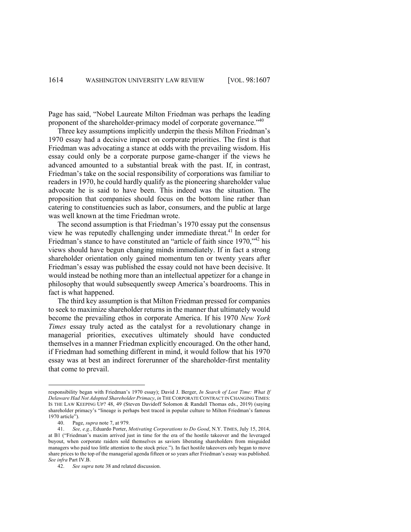Page has said, "Nobel Laureate Milton Friedman was perhaps the leading proponent of the shareholder-primacy model of corporate governance."<sup>40</sup>

Three key assumptions implicitly underpin the thesis Milton Friedman's 1970 essay had a decisive impact on corporate priorities. The first is that Friedman was advocating a stance at odds with the prevailing wisdom. His essay could only be a corporate purpose game-changer if the views he advanced amounted to a substantial break with the past. If, in contrast, Friedman's take on the social responsibility of corporations was familiar to readers in 1970, he could hardly qualify as the pioneering shareholder value advocate he is said to have been. This indeed was the situation. The proposition that companies should focus on the bottom line rather than catering to constituencies such as labor, consumers, and the public at large was well known at the time Friedman wrote.

The second assumption is that Friedman's 1970 essay put the consensus view he was reputedly challenging under immediate threat.<sup>41</sup> In order for Friedman's stance to have constituted an "article of faith since 1970,"<sup>42</sup> his views should have begun changing minds immediately. If in fact a strong shareholder orientation only gained momentum ten or twenty years after Friedman's essay was published the essay could not have been decisive. It would instead be nothing more than an intellectual appetizer for a change in philosophy that would subsequently sweep America's boardrooms. This in fact is what happened.

The third key assumption is that Milton Friedman pressed for companies to seek to maximize shareholder returns in the manner that ultimately would become the prevailing ethos in corporate America. If his 1970 *New York Times* essay truly acted as the catalyst for a revolutionary change in managerial priorities, executives ultimately should have conducted themselves in a manner Friedman explicitly encouraged. On the other hand, if Friedman had something different in mind, it would follow that his 1970 essay was at best an indirect forerunner of the shareholder-first mentality that come to prevail.

responsibility began with Friedman's 1970 essay); David J. Berger, *In Search of Lost Time: What If Delaware Had Not Adopted Shareholder Primacy*, *in* THE CORPORATE CONTRACT IN CHANGING TIMES: IS THE LAW KEEPING UP? 48, 49 (Steven Davidoff Solomon & Randall Thomas eds., 2019) (saying shareholder primacy's "lineage is perhaps best traced in popular culture to Milton Friedman's famous 1970 article").

<sup>40.</sup> Page, *supra* note 7, at 979.

<sup>41.</sup> *See, e.g.*, Eduardo Porter, *Motivating Corporations to Do Good*, N.Y. TIMES, July 15, 2014, at B1 ("Friedman's maxim arrived just in time for the era of the hostile takeover and the leveraged buyout, when corporate raiders sold themselves as saviors liberating shareholders from misguided managers who paid too little attention to the stock price."). In fact hostile takeovers only began to move share prices to the top of the managerial agenda fifteen or so years after Friedman's essay was published. *See infra* Part IV.B.

<sup>42.</sup> *See supra* note 38 and related discussion.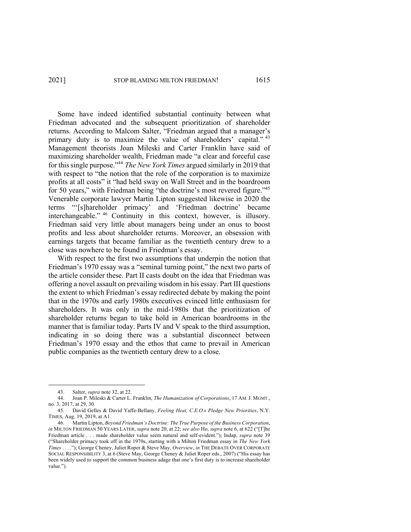Some have indeed identified substantial continuity between what Friedman advocated and the subsequent prioritization of shareholder returns. According to Malcom Salter, "Friedman argued that a manager's primary duty is to maximize the value of shareholders' capital."<sup>43</sup> Management theorists Joan Mileski and Carter Franklin have said of maximizing shareholder wealth, Friedman made "a clear and forceful case for this single purpose."44 *The New York Times* argued similarly in 2019 that with respect to "the notion that the role of the corporation is to maximize profits at all costs" it "had held sway on Wall Street and in the boardroom for 50 years," with Friedman being "the doctrine's most revered figure."45 Venerable corporate lawyer Martin Lipton suggested likewise in 2020 the terms "'[s]hareholder primacy' and 'Friedman doctrine' became interchangeable." <sup>46</sup> Continuity in this context, however, is illusory. Friedman said very little about managers being under an onus to boost profits and less about shareholder returns. Moreover, an obsession with earnings targets that became familiar as the twentieth century drew to a close was nowhere to be found in Friedman's essay.

With respect to the first two assumptions that underpin the notion that Friedman's 1970 essay was a "seminal turning point," the next two parts of the article consider these. Part II casts doubt on the idea that Friedman was offering a novel assault on prevailing wisdom in his essay. Part III questions the extent to which Friedman's essay redirected debate by making the point that in the 1970s and early 1980s executives evinced little enthusiasm for shareholders. It was only in the mid-1980s that the prioritization of shareholder returns began to take hold in American boardrooms in the manner that is familiar today. Parts IV and V speak to the third assumption, indicating in so doing there was a substantial disconnect between Friedman's 1970 essay and the ethos that came to prevail in American public companies as the twentieth century drew to a close.

<sup>43.</sup> Salter, *supra* note 32, at 22.

<sup>44.</sup> Joan P. Mileski & Carter L. Franklin, *The Humanization of Corporations*, 17 AM. J. MGMT., no. 3, 2017, at 29, 30.

<sup>45.</sup> David Gelles & David Yaffe-Bellany, *Feeling Heat, C.E.O.s Pledge New Priorities*, N.Y. TIMES, Aug. 19, 2019, at A1.

<sup>46.</sup> Martin Lipton, *Beyond Friedman's Doctrine: The True Purpose of the Business Corporation*, *in* MILTON FRIEDMAN 50 YEARS LATER, *supra* note 20, at 22; *see also* Ho, *supra* note 6, at 622 ("[T]he Friedman article . . . made shareholder value seem natural and self-evident."); Indap, *supra* note 39 ("Shareholder primacy took off in the 1970s, starting with a Milton Friedman essay in *The New York Times* . . . ."); George Cheney, Juliet Roper & Steve May, *Overview*, *in* THE DEBATE OVER CORPORATE SOCIAL RESPONSIBILITY 3, at 6 (Steve May, George Cheney & Juliet Roper eds., 2007) ("His essay has been widely used to support the common business adage that one's first duty is to increase shareholder value.").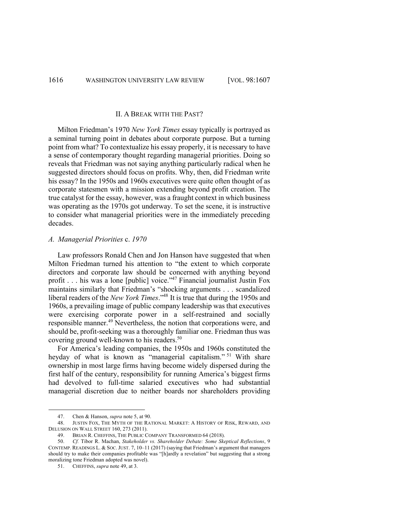### II. A BREAK WITH THE PAST?

Milton Friedman's 1970 *New York Times* essay typically is portrayed as a seminal turning point in debates about corporate purpose. But a turning point from what? To contextualize his essay properly, it is necessary to have a sense of contemporary thought regarding managerial priorities. Doing so reveals that Friedman was not saying anything particularly radical when he suggested directors should focus on profits. Why, then, did Friedman write his essay? In the 1950s and 1960s executives were quite often thought of as corporate statesmen with a mission extending beyond profit creation. The true catalyst for the essay, however, was a fraught context in which business was operating as the 1970s got underway. To set the scene, it is instructive to consider what managerial priorities were in the immediately preceding decades.

## *A. Managerial Priorities* c. *1970*

Law professors Ronald Chen and Jon Hanson have suggested that when Milton Friedman turned his attention to "the extent to which corporate directors and corporate law should be concerned with anything beyond profit  $\dots$  his was a lone [public] voice."<sup>47</sup> Financial journalist Justin Fox maintains similarly that Friedman's "shocking arguments . . . scandalized liberal readers of the *New York Times*."48 It is true that during the 1950s and 1960s, a prevailing image of public company leadership was that executives were exercising corporate power in a self-restrained and socially responsible manner.<sup>49</sup> Nevertheless, the notion that corporations were, and should be, profit-seeking was a thoroughly familiar one. Friedman thus was covering ground well-known to his readers.<sup>50</sup>

For America's leading companies, the 1950s and 1960s constituted the heyday of what is known as "managerial capitalism." <sup>51</sup> With share ownership in most large firms having become widely dispersed during the first half of the century, responsibility for running America's biggest firms had devolved to full-time salaried executives who had substantial managerial discretion due to neither boards nor shareholders providing

<sup>47.</sup> Chen & Hanson, *supra* note 5, at 90.

<sup>48.</sup> JUSTIN FOX, THE MYTH OF THE RATIONAL MARKET: A HISTORY OF RISK, REWARD, AND DELUSION ON WALL STREET 160, 273 (2011).

<sup>49.</sup> BRIAN R. CHEFFINS, THE PUBLIC COMPANY TRANSFORMED 64 (2018).

<sup>50.</sup> *Cf.* Tibor R. Machan, *Stakeholder vs. Shareholder Debate: Some Skeptical Reflections*, 9 CONTEMP. READINGS L. & SOC.JUST. 7, 10–11 (2017) (saying that Friedman's argument that managers should try to make their companies profitable was "[h]ardly a revelation" but suggesting that a strong moralizing tone Friedman adopted was novel).

<sup>51.</sup> CHEFFINS, *supra* note 49, at 3.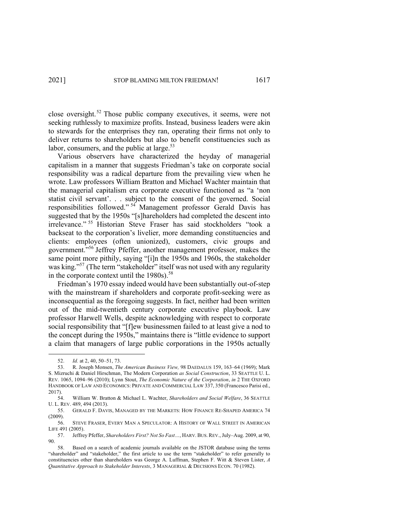close oversight. <sup>52</sup> Those public company executives, it seems, were not seeking ruthlessly to maximize profits. Instead, business leaders were akin to stewards for the enterprises they ran, operating their firms not only to deliver returns to shareholders but also to benefit constituencies such as labor, consumers, and the public at large. $53$ 

Various observers have characterized the heyday of managerial capitalism in a manner that suggests Friedman's take on corporate social responsibility was a radical departure from the prevailing view when he wrote. Law professors William Bratton and Michael Wachter maintain that the managerial capitalism era corporate executive functioned as "a 'non statist civil servant'. . . subject to the consent of the governed. Social responsibilities followed."<sup>54</sup> Management professor Gerald Davis has suggested that by the 1950s "[s]hareholders had completed the descent into irrelevance." <sup>55</sup> Historian Steve Fraser has said stockholders "took a backseat to the corporation's livelier, more demanding constituencies and clients: employees (often unionized), customers, civic groups and government."<sup>56</sup> Jeffrey Pfeffer, another management professor, makes the same point more pithily, saying "[i]n the 1950s and 1960s, the stakeholder was king."<sup>57</sup> (The term "stakeholder" itself was not used with any regularity in the corporate context until the 1980s).<sup>58</sup>

Friedman's 1970 essay indeed would have been substantially out-of-step with the mainstream if shareholders and corporate profit-seeking were as inconsequential as the foregoing suggests. In fact, neither had been written out of the mid-twentieth century corporate executive playbook. Law professor Harwell Wells, despite acknowledging with respect to corporate social responsibility that "[f]ew businessmen failed to at least give a nod to the concept during the 1950s," maintains there is "little evidence to support a claim that managers of large public corporations in the 1950s actually

<sup>52.</sup> *Id.* at 2, 40, 50–51, 73.

<sup>53.</sup> R. Joseph Monsen, *The American Business View,* 98 DAEDALUS 159, 163–64 (1969); Mark S. Mizruchi & Daniel Hirschman, The Modern Corporation *as Social Construction*, 33 SEATTLE U. L. REV. 1065, 1094–96 (2010); Lynn Stout, *The Economic Nature of the Corporation*, *in* 2 THE OXFORD HANDBOOK OF LAW AND ECONOMICS: PRIVATE AND COMMERCIAL LAW 337, 350 (Francesco Parisi ed., 2017).

<sup>54.</sup> William W. Bratton & Michael L. Wachter, *Shareholders and Social Welfare*, 36 SEATTLE U. L. REV. 489, 494 (2013).

<sup>55.</sup> GERALD F. DAVIS, MANAGED BY THE MARKETS: HOW FINANCE RE-SHAPED AMERICA 74 (2009).

<sup>56.</sup> STEVE FRASER, EVERY MAN A SPECULATOR: A HISTORY OF WALL STREET IN AMERICAN LIFE 491 (2005).

<sup>57.</sup> Jeffrey Pfeffer, *Shareholders First? Not So Fast…*, HARV. BUS. REV., July–Aug. 2009, at 90, 90.

<sup>58.</sup> Based on a search of academic journals available on the JSTOR database using the terms "shareholder" and "stakeholder," the first article to use the term "stakeholder" to refer generally to constituencies other than shareholders was George A. Luffman, Stephen F. Witt & Steven Lister, *A Quantitative Approach to Stakeholder Interests*, 3 MANAGERIAL & DECISIONS ECON. 70 (1982).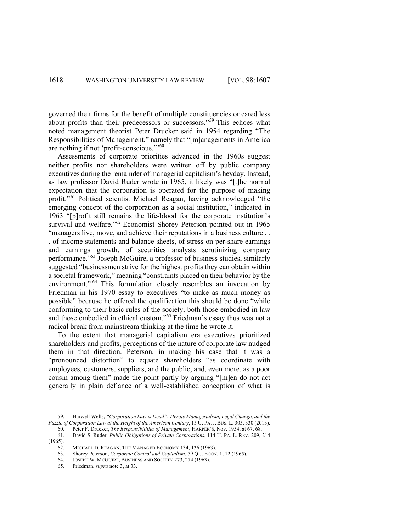governed their firms for the benefit of multiple constituencies or cared less about profits than their predecessors or successors."<sup>59</sup> This echoes what noted management theorist Peter Drucker said in 1954 regarding "The Responsibilities of Management," namely that "[m]anagements in America are nothing if not 'profit-conscious.'"<sup>60</sup>

Assessments of corporate priorities advanced in the 1960s suggest neither profits nor shareholders were written off by public company executives during the remainder of managerial capitalism's heyday. Instead, as law professor David Ruder wrote in 1965, it likely was "[t]he normal expectation that the corporation is operated for the purpose of making profit."<sup>61</sup> Political scientist Michael Reagan, having acknowledged "the emerging concept of the corporation as a social institution," indicated in 1963 "[p]rofit still remains the life-blood for the corporate institution's survival and welfare."<sup>62</sup> Economist Shorey Peterson pointed out in 1965 "managers live, move, and achieve their reputations in a business culture . . . of income statements and balance sheets, of stress on per-share earnings and earnings growth, of securities analysts scrutinizing company performance."63 Joseph McGuire, a professor of business studies, similarly suggested "businessmen strive for the highest profits they can obtain within a societal framework," meaning "constraints placed on their behavior by the environment."<sup>64</sup> This formulation closely resembles an invocation by Friedman in his 1970 essay to executives "to make as much money as possible" because he offered the qualification this should be done "while conforming to their basic rules of the society, both those embodied in law and those embodied in ethical custom."65 Friedman's essay thus was not a radical break from mainstream thinking at the time he wrote it.

To the extent that managerial capitalism era executives prioritized shareholders and profits, perceptions of the nature of corporate law nudged them in that direction. Peterson, in making his case that it was a "pronounced distortion" to equate shareholders "as coordinate with employees, customers, suppliers, and the public, and, even more, as a poor cousin among them" made the point partly by arguing "[m]en do not act generally in plain defiance of a well-established conception of what is

<sup>59.</sup> Harwell Wells, *"Corporation Law is Dead": Heroic Managerialism, Legal Change, and the Puzzle of Corporation Law at the Height of the American Century*, 15 U. PA.J. BUS. L. 305, 330 (2013). 60. Peter F. Drucker, *The Responsibilities of Management*, HARPER'S, Nov. 1954, at 67, 68.

<sup>61.</sup> David S. Ruder, *Public Obligations of Private Corporations*, 114 U. PA. L. REV. 209, 214 (1965).

<sup>62.</sup> MICHAEL D. REAGAN, THE MANAGED ECONOMY 134, 136 (1963).

<sup>63.</sup> Shorey Peterson, *Corporate Control and Capitalism*, 79 Q.J. ECON. 1, 12 (1965).

<sup>64.</sup> JOSEPH W. MCGUIRE, BUSINESS AND SOCIETY 273, 274 (1963).

<sup>65.</sup> Friedman, *supra* note 3, at 33.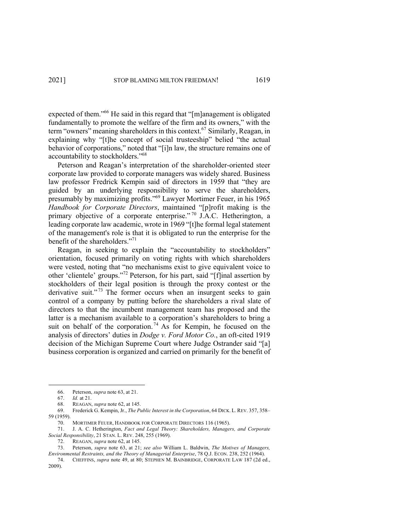expected of them."66 He said in this regard that "[m]anagement is obligated fundamentally to promote the welfare of the firm and its owners," with the term "owners" meaning shareholders in this context.<sup>67</sup> Similarly, Reagan, in explaining why "[t]he concept of social trusteeship" belied "the actual behavior of corporations," noted that "[i]n law, the structure remains one of accountability to stockholders."<sup>68</sup>

Peterson and Reagan's interpretation of the shareholder-oriented steer corporate law provided to corporate managers was widely shared. Business law professor Fredrick Kempin said of directors in 1959 that "they are guided by an underlying responsibility to serve the shareholders, presumably by maximizing profits."69 Lawyer Mortimer Feuer, in his 1965 *Handbook for Corporate Directors*, maintained "[p]rofit making is the primary objective of a corporate enterprise."<sup>70</sup> J.A.C. Hetherington, a leading corporate law academic, wrote in 1969 "[t]he formal legal statement of the management's role is that it is obligated to run the enterprise for the benefit of the shareholders."<sup>71</sup>

Reagan, in seeking to explain the "accountability to stockholders" orientation, focused primarily on voting rights with which shareholders were vested, noting that "no mechanisms exist to give equivalent voice to other 'clientele' groups."72 Peterson, for his part, said "[f]inal assertion by stockholders of their legal position is through the proxy contest or the derivative suit."<sup>73</sup> The former occurs when an insurgent seeks to gain control of a company by putting before the shareholders a rival slate of directors to that the incumbent management team has proposed and the latter is a mechanism available to a corporation's shareholders to bring a suit on behalf of the corporation.<sup>74</sup> As for Kempin, he focused on the analysis of directors' duties in *Dodge v. Ford Motor Co.*, an oft-cited 1919 decision of the Michigan Supreme Court where Judge Ostrander said "[a] business corporation is organized and carried on primarily for the benefit of

<sup>66.</sup> Peterson, *supra* note 63, at 21.

<sup>67.</sup> *Id.* at 21.

<sup>68.</sup> REAGAN, *supra* note 62, at 145.

<sup>69.</sup> Frederick G. Kempin, Jr., *The Public Interest in the Corporation*, 64 DICK. L.REV. 357, 358– 59 (1959).

<sup>70.</sup> MORTIMER FEUER, HANDBOOK FOR CORPORATE DIRECTORS 116 (1965).

<sup>71.</sup> J. A. C. Hetherington, *Fact and Legal Theory: Shareholders, Managers, and Corporate Social Responsibility*, 21 STAN. L. REV. 248, 255 (1969).

<sup>72.</sup> REAGAN, *supra* note 62, at 145.

<sup>73.</sup> Peterson, *supra* note 63, at 21; *see also* William L. Baldwin, *The Motives of Managers, Environmental Restraints, and the Theory of Managerial Enterprise*, 78 Q.J. ECON. 238, 252 (1964).

<sup>74.</sup> CHEFFINS, *supra* note 49, at 80; STEPHEN M. BAINBRIDGE, CORPORATE LAW 187 (2d ed., 2009).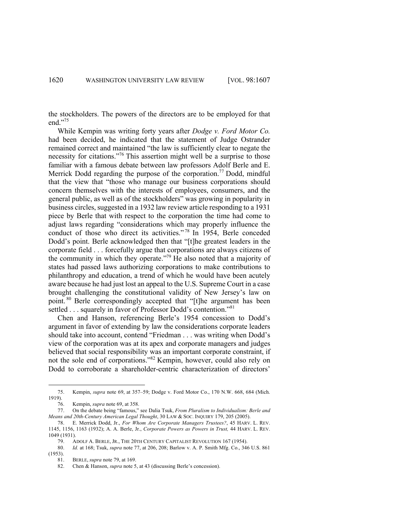the stockholders. The powers of the directors are to be employed for that end."75

While Kempin was writing forty years after *Dodge v. Ford Motor Co.* had been decided, he indicated that the statement of Judge Ostrander remained correct and maintained "the law is sufficiently clear to negate the necessity for citations."<sup>76</sup> This assertion might well be a surprise to those familiar with a famous debate between law professors Adolf Berle and E. Merrick Dodd regarding the purpose of the corporation.<sup>77</sup> Dodd, mindful that the view that "those who manage our business corporations should concern themselves with the interests of employees, consumers, and the general public, as well as of the stockholders" was growing in popularity in business circles, suggested in a 1932 law review article responding to a 1931 piece by Berle that with respect to the corporation the time had come to adjust laws regarding "considerations which may properly influence the conduct of those who direct its activities."<sup>78</sup> In 1954, Berle conceded Dodd's point. Berle acknowledged then that "[t]he greatest leaders in the corporate field . . . forcefully argue that corporations are always citizens of the community in which they operate."79 He also noted that a majority of states had passed laws authorizing corporations to make contributions to philanthropy and education, a trend of which he would have been acutely aware because he had just lost an appeal to the U.S. Supreme Court in a case brought challenging the constitutional validity of New Jersey's law on point.<sup>80</sup> Berle correspondingly accepted that "[t]he argument has been settled . . . squarely in favor of Professor Dodd's contention."<sup>81</sup>

Chen and Hanson, referencing Berle's 1954 concession to Dodd's argument in favor of extending by law the considerations corporate leaders should take into account, contend "Friedman . . . was writing when Dodd's view of the corporation was at its apex and corporate managers and judges believed that social responsibility was an important corporate constraint, if not the sole end of corporations."82 Kempin, however, could also rely on Dodd to corroborate a shareholder-centric characterization of directors'

<sup>75.</sup> Kempin, *supra* note 69, at 357–59; Dodge v. Ford Motor Co., 170 N.W. 668, 684 (Mich. 1919).

<sup>76.</sup> Kempin, *supra* note 69, at 358.

<sup>77.</sup> On the debate being "famous," see Dalia Tsuk, *From Pluralism to Individualism: Berle and Means and 20th-Century American Legal Thought*, 30 LAW & SOC. INQUIRY 179, 205 (2005).

<sup>78.</sup> E. Merrick Dodd, Jr., *For Whom Are Corporate Managers Trustees?*, 45 HARV. L. REV. 1145, 1156, 1163 (1932); A. A. Berle, Jr., *Corporate Powers as Powers in Trust,* 44 HARV. L. REV. 1049 (1931).

<sup>79.</sup> ADOLF A. BERLE, JR., THE 20TH CENTURY CAPITALIST REVOLUTION 167 (1954).

<sup>80.</sup> *Id.* at 168; Tsuk, *supra* note 77, at 206, 208; Barlow v. A. P. Smith Mfg. Co., 346 U.S. 861 (1953).

<sup>81.</sup> BERLE, *supra* note 79, at 169.

<sup>82.</sup> Chen & Hanson, *supra* note 5, at 43 (discussing Berle's concession).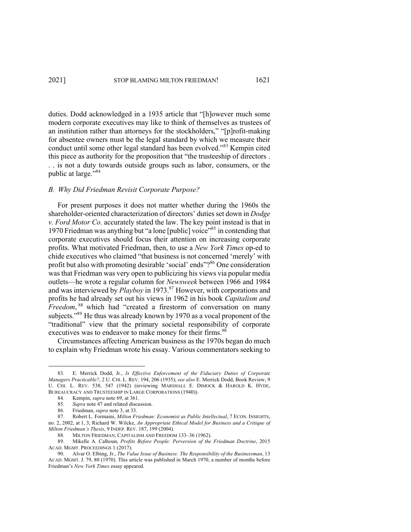duties. Dodd acknowledged in a 1935 article that "[h]owever much some modern corporate executives may like to think of themselves as trustees of an institution rather than attorneys for the stockholders," "[p]rofit-making for absentee owners must be the legal standard by which we measure their conduct until some other legal standard has been evolved."<sup>83</sup> Kempin cited this piece as authority for the proposition that "the trusteeship of directors . . . is not a duty towards outside groups such as labor, consumers, or the

public at large."<sup>84</sup>

#### *B. Why Did Friedman Revisit Corporate Purpose?*

For present purposes it does not matter whether during the 1960s the shareholder-oriented characterization of directors' duties set down in *Dodge v. Ford Motor Co.* accurately stated the law. The key point instead is that in 1970 Friedman was anything but "a lone [public] voice"<sup>85</sup> in contending that corporate executives should focus their attention on increasing corporate profits. What motivated Friedman, then, to use a *New York Times* op-ed to chide executives who claimed "that business is not concerned 'merely' with profit but also with promoting desirable 'social' ends"?86 One consideration was that Friedman was very open to publicizing his views via popular media outlets—he wrote a regular column for *Newsweek* between 1966 and 1984 and was interviewed by *Playboy* in 1973.<sup>87</sup> However, with corporations and profits he had already set out his views in 1962 in his book *Capitalism and Freedom*, <sup>88</sup> which had "created a firestorm of conversation on many subjects."<sup>89</sup> He thus was already known by 1970 as a vocal proponent of the "traditional" view that the primary societal responsibility of corporate executives was to endeavor to make money for their firms.<sup>90</sup>

Circumstances affecting American business as the 1970s began do much to explain why Friedman wrote his essay. Various commentators seeking to

<sup>83.</sup> E. Merrick Dodd, Jr., *Is Effective Enforcement of the Fiduciary Duties of Corporate Managers Practicable?*, 2 U. CHI. L. REV. 194, 206 (1935); *see also* E. Merrick Dodd, Book Review, 9 U. CHI. L. REV. 538, 547 (1942) (reviewing MARSHALL E. DIMOCK & HAROLD K. HYDE, BUREAUCRACY AND TRUSTEESHIP IN LARGE CORPORATIONS (1940)).

<sup>84.</sup> Kempin, *supra* note 69, at 361.

<sup>85.</sup> *Supra* note 47 and related discussion.

<sup>86.</sup> Friedman, *supra* note 3, at 33.

<sup>87.</sup> Robert L. Formaini, *Milton Friedman: Economist as Public Intellectual*, 7 ECON. INSIGHTS, no. 2, 2002, at 1, 3; Richard W. Wilcke, *An Appropriate Ethical Model for Business and a Critique of Milton Friedman's Thesis*, 9 INDEP. REV. 187, 199 (2004).

<sup>88.</sup> MILTON FRIEDMAN, CAPITALISM AND FREEDOM 133–36 (1962).

<sup>89.</sup> Mikelle A. Calhoun, *Profits Before People: Perversion of the Friedman Doctrine*, 2015 ACAD. MGMT. PROCEEDINGS 1 (2017).

<sup>90.</sup> Alvar O. Elbing, Jr., *The Value Issue of Business: The Responsibility of the Businessman*, 13 ACAD. MGMT. J. 79, 80 (1970). This article was published in March 1970, a number of months before Friedman's *New York Times* essay appeared.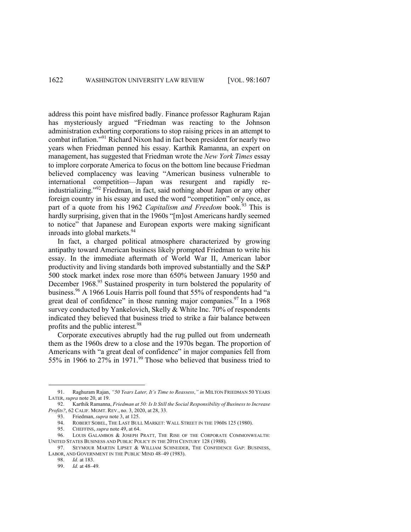address this point have misfired badly. Finance professor Raghuram Rajan has mysteriously argued "Friedman was reacting to the Johnson administration exhorting corporations to stop raising prices in an attempt to combat inflation."91 Richard Nixon had in fact been president for nearly two years when Friedman penned his essay. Karthik Ramanna, an expert on management, has suggested that Friedman wrote the *New York Times* essay to implore corporate America to focus on the bottom line because Friedman believed complacency was leaving "American business vulnerable to international competition—Japan was resurgent and rapidly reindustrializing."<sup>92</sup> Friedman, in fact, said nothing about Japan or any other foreign country in his essay and used the word "competition" only once, as part of a quote from his 1962 *Capitalism and Freedom* book. <sup>93</sup> This is hardly surprising, given that in the 1960s "[m]ost Americans hardly seemed to notice" that Japanese and European exports were making significant inroads into global markets.<sup>94</sup>

In fact, a charged political atmosphere characterized by growing antipathy toward American business likely prompted Friedman to write his essay. In the immediate aftermath of World War II, American labor productivity and living standards both improved substantially and the S&P 500 stock market index rose more than 650% between January 1950 and December 1968.<sup>95</sup> Sustained prosperity in turn bolstered the popularity of business.<sup>96</sup> A 1966 Louis Harris poll found that 55% of respondents had "a great deal of confidence" in those running major companies.<sup>97</sup> In a 1968 survey conducted by Yankelovich, Skelly & White Inc. 70% of respondents indicated they believed that business tried to strike a fair balance between profits and the public interest.<sup>98</sup>

Corporate executives abruptly had the rug pulled out from underneath them as the 1960s drew to a close and the 1970s began. The proportion of Americans with "a great deal of confidence" in major companies fell from 55% in 1966 to 27% in 1971. <sup>99</sup> Those who believed that business tried to

<sup>91.</sup> Raghuram Rajan, *"50 Years Later, It's Time to Reassess*,*" in* MILTON FRIEDMAN 50 YEARS LATER, *supra* note 20, at 19.

<sup>92.</sup> Karthik Ramanna, *Friedman at 50: Is It Still the Social Responsibility of Business to Increase Profits?*, 62 CALIF. MGMT. REV., no. 3, 2020, at 28, 33.

<sup>93.</sup> Friedman, *supra* note 3, at 125.

<sup>94.</sup> ROBERT SOBEL, THE LAST BULL MARKET: WALL STREET IN THE 1960s 125 (1980).

<sup>95.</sup> CHEFFINS, *supra* note 49, at 64.<br>96. LOUIS GALAMBOS & JOSEPH

LOUIS GALAMBOS & JOSEPH PRATT, THE RISE OF THE CORPORATE COMMONWEALTH: UNITED STATES BUSINESS AND PUBLIC POLICY IN THE 20TH CENTURY 128 (1988).

<sup>97.</sup> SEYMOUR MARTIN LIPSET & WILLIAM SCHNEIDER, THE CONFIDENCE GAP: BUSINESS, LABOR, AND GOVERNMENT IN THE PUBLIC MIND 48–49 (1983).

<sup>98.</sup> *Id.* at 183.

<sup>99.</sup> *Id.* at 48–49.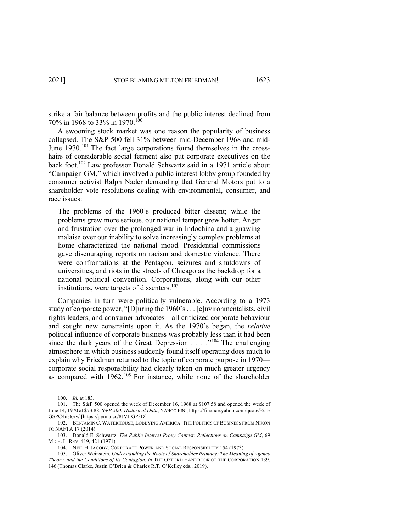strike a fair balance between profits and the public interest declined from 70% in 1968 to 33% in 1970.<sup>100</sup>

A swooning stock market was one reason the popularity of business collapsed. The S&P 500 fell 31% between mid-December 1968 and mid-June 1970.<sup>101</sup> The fact large corporations found themselves in the crosshairs of considerable social ferment also put corporate executives on the back foot. <sup>102</sup> Law professor Donald Schwartz said in a 1971 article about "Campaign GM," which involved a public interest lobby group founded by consumer activist Ralph Nader demanding that General Motors put to a shareholder vote resolutions dealing with environmental, consumer, and race issues:

The problems of the 1960's produced bitter dissent; while the problems grew more serious, our national temper grew hotter. Anger and frustration over the prolonged war in Indochina and a gnawing malaise over our inability to solve increasingly complex problems at home characterized the national mood. Presidential commissions gave discouraging reports on racism and domestic violence. There were confrontations at the Pentagon, seizures and shutdowns of universities, and riots in the streets of Chicago as the backdrop for a national political convention. Corporations, along with our other institutions, were targets of dissenters. $103$ 

Companies in turn were politically vulnerable. According to a 1973 study of corporate power, "[D]uring the 1960's. . . [e]nvironmentalists, civil rights leaders, and consumer advocates—all criticized corporate behaviour and sought new constraints upon it. As the 1970's began, the *relative* political influence of corporate business was probably less than it had been since the dark years of the Great Depression  $\ldots$  . . .<sup>104</sup> The challenging atmosphere in which business suddenly found itself operating does much to explain why Friedman returned to the topic of corporate purpose in 1970 corporate social responsibility had clearly taken on much greater urgency as compared with  $1962$ .<sup>105</sup> For instance, while none of the shareholder

<sup>100.</sup> *Id.* at 183.

<sup>101.</sup> The S&P 500 opened the week of December 16, 1968 at \$107.58 and opened the week of June 14, 1970 at \$73.88. *S&P 500: Historical Data*, YAHOO FIN., https://finance.yahoo.com/quote/%5E GSPC/history/ [https://perma.cc/8JVJ-GP3D].

<sup>102.</sup> BENJAMIN C. WATERHOUSE, LOBBYING AMERICA: THE POLITICS OF BUSINESS FROM NIXON TO NAFTA 17 (2014).

<sup>103.</sup> Donald E. Schwartz, *The Public-Interest Proxy Contest: Reflections on Campaign GM*, 69 MICH. L. REV. 419, 421 (1971).

<sup>104.</sup> NEIL H. JACOBY, CORPORATE POWER AND SOCIAL RESPONSIBILITY 154 (1973).

<sup>105.</sup> Oliver Weinstein, *Understanding the Roots of Shareholder Primacy: The Meaning of Agency Theory, and the Conditions of Its Contagion*, *in* THE OXFORD HANDBOOK OF THE CORPORATION 139, 146 (Thomas Clarke, Justin O'Brien & Charles R.T. O'Kelley eds., 2019).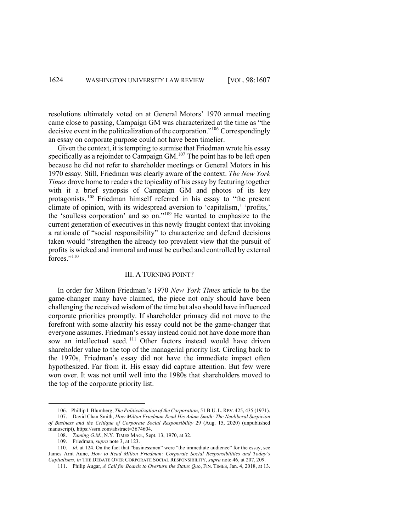resolutions ultimately voted on at General Motors' 1970 annual meeting came close to passing, Campaign GM was characterized at the time as "the decisive event in the politicalization of the corporation."<sup>106</sup> Correspondingly an essay on corporate purpose could not have been timelier.

Given the context, it is tempting to surmise that Friedman wrote his essay specifically as a rejoinder to Campaign  $GM$ .<sup>107</sup> The point has to be left open because he did not refer to shareholder meetings or General Motors in his 1970 essay. Still, Friedman was clearly aware of the context. *The New York Times* drove home to readers the topicality of his essay by featuring together with it a brief synopsis of Campaign GM and photos of its key protagonists. <sup>108</sup> Friedman himself referred in his essay to "the present climate of opinion, with its widespread aversion to 'capitalism,' 'profits,' the 'soulless corporation' and so on."<sup>109</sup> He wanted to emphasize to the current generation of executives in this newly fraught context that invoking a rationale of "social responsibility" to characterize and defend decisions taken would "strengthen the already too prevalent view that the pursuit of profits is wicked and immoral and must be curbed and controlled by external forces."<sup>110</sup>

#### III. A TURNING POINT?

In order for Milton Friedman's 1970 *New York Times* article to be the game-changer many have claimed, the piece not only should have been challenging the received wisdom of the time but also should have influenced corporate priorities promptly. If shareholder primacy did not move to the forefront with some alacrity his essay could not be the game-changer that everyone assumes. Friedman's essay instead could not have done more than sow an intellectual seed.<sup>111</sup> Other factors instead would have driven shareholder value to the top of the managerial priority list. Circling back to the 1970s, Friedman's essay did not have the immediate impact often hypothesized. Far from it. His essay did capture attention. But few were won over. It was not until well into the 1980s that shareholders moved to the top of the corporate priority list.

<sup>106.</sup> Phillip I. Blumberg, *The Politicalization of the Corporation*, 51 B.U. L. REV. 425, 435 (1971).

<sup>107.</sup> David Chan Smith, *How Milton Friedman Read His Adam Smith: The Neoliberal Suspicion of Business and the Critique of Corporate Social Responsibility* 29 (Aug. 15, 2020) (unpublished manuscript), https://ssrn.com/abstract=3674604.

<sup>108.</sup> *Taming G.M.*, N.Y. TIMES MAG., Sept. 13, 1970, at 32.

<sup>109.</sup> Friedman, *supra* note 3, at 123.

<sup>110.</sup> *Id.* at 124. On the fact that "businessmen" were "the immediate audience" for the essay, see James Arnt Aune, *How to Read Milton Friedman: Corporate Social Responsibilities and Today's Capitalisms*, *in* THE DEBATE OVER CORPORATE SOCIAL RESPONSIBILITY, *supra* note 46, at 207, 209.

<sup>111.</sup> Philip Augar, *A Call for Boards to Overturn the Status Quo*, FIN. TIMES, Jan. 4, 2018, at 13.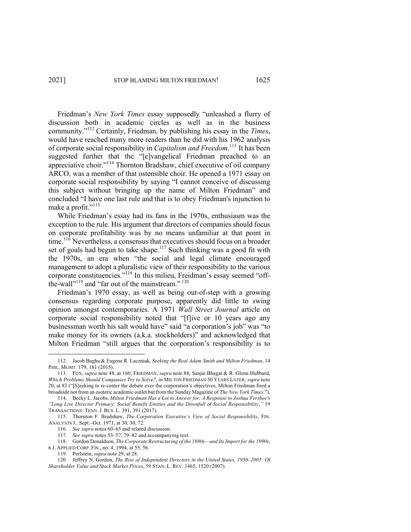Friedman's *New York Times* essay supposedly "unleashed a flurry of discussion both in academic circles as well as in the business community."<sup>112</sup> Certainly, Friedman, by publishing his essay in the *Times*, would have reached many more readers than he did with his 1962 analysis of corporate social responsibility in *Capitalism and Freedom*. <sup>113</sup> It has been suggested further that the "[e]vangelical Friedman preached to an appreciative choir."<sup>114</sup> Thornton Bradshaw, chief executive of oil company ARCO, was a member of that ostensible choir. He opened a 1971 essay on corporate social responsibility by saying "I cannot conceive of discussing this subject without bringing up the name of Milton Friedman" and concluded "I have one last rule and that is to obey Friedman's injunction to make a profit."<sup>115</sup>

While Friedman's essay had its fans in the 1970s, enthusiasm was the exception to the rule. His argument that directors of companies should focus on corporate profitability was by no means unfamiliar at that point in time.<sup>116</sup> Nevertheless, a consensus that executives should focus on a broader set of goals had begun to take shape.<sup>117</sup> Such thinking was a good fit with the 1970s, an era when "the social and legal climate encouraged management to adopt a pluralistic view of their responsibility to the various corporate constituencies."118 In this milieu, Freidman's essay seemed "offthe-wall"<sup>119</sup> and "far out of the mainstream."<sup>120</sup>

Friedman's 1970 essay, as well as being out-of-step with a growing consensus regarding corporate purpose, apparently did little to swing opinion amongst contemporaries. A 1971 *Wall Street Journal* article on corporate social responsibility noted that "[f]ive or 10 years ago any businessman worth his salt would have" said "a corporation's job" was "to make money for its owners (a.k.a. stockholders)" and acknowledged that Milton Friedman "still argues that the corporation's responsibility is to

<sup>112.</sup> Jacob Bagha & Eugene R. Laczniak, *Seeking the Real Adam Smith and Milton Friedman*, 14 PHIL. MGMT. 179, 181 (2015).

<sup>113.</sup> FOX, *supra* note 48, at 160; FRIEDMAN, *supra* note 88; Sanjai Bhagat & R. Glenn Hubbard, *Which Problems Should Companies Try to Solve?*, *in* MILTON FRIEDMAN 50 YEARS LATER, *supra* note 20, at 83 ("[S]eeking to re-center the debate over the corporation's objectives, Milton Friedman fired a broadside not from an esoteric academic outlet but from the Sunday Magazine of *The New York Times*.").

<sup>114.</sup> Becky L. Jacobs, *Milton Friedman Has a Lot to Answer for: A Response to Joshua Fershee's "Long Live Director Primacy: Social Benefit Entities and the Downfall of Social Responsibility*,*"* 19 TRANSACTIONS: TENN. J. BUS. L. 391, 391 (2017).

<sup>115.</sup> Thornton F. Bradshaw, *The Corporation Executive's View of Social Responsibility*, FIN. ANALYSTS J., Sept.–Oct. 1971, at 30, 30, 72.

<sup>116.</sup> *See supra* notes 60–65 and related discussion.

<sup>117.</sup> *See supra* notes 53–57, 79–82 and accompanying text.

<sup>118.</sup> Gordon Donaldson, *The Corporate Restructuring of the 1980s—and Its Import for the 1990s*, 6 J. APPLIED CORP. FIN., no. 4, 1994, at 55, 56.

<sup>119.</sup> Perlstein, *supra* note 29, at 28.

<sup>120.</sup> Jeffrey N. Gordon, *The Rise of Independent Directors in the United States, 1950–2005: Of Shareholder Value and Stock Market Prices*, 59 STAN. L. REV. 1465, 1520 (2007).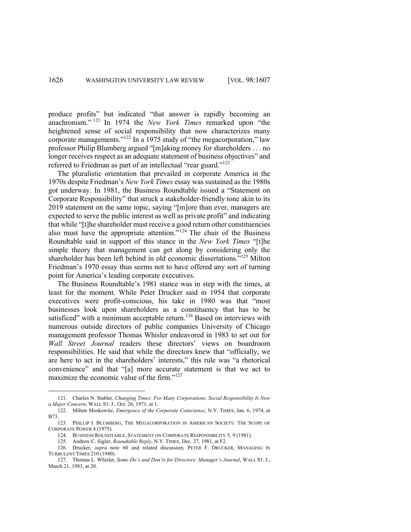produce profits" but indicated "that answer is rapidly becoming an anachronism." <sup>121</sup> In 1974 the *New York Times* remarked upon "the heightened sense of social responsibility that now characterizes many corporate managements."122 In a 1975 study of "the megacorporation," law professor Philip Blumberg argued "[m]aking money for shareholders . . . no longer receives respect as an adequate statement of business objectives" and referred to Friedman as part of an intellectual "rear guard."<sup>123</sup>

The pluralistic orientation that prevailed in corporate America in the 1970s despite Friedman's *New York Times* essay was sustained as the 1980s got underway. In 1981, the Business Roundtable issued a "Statement on Corporate Responsibility" that struck a stakeholder-friendly tone akin to its 2019 statement on the same topic, saying "[m]ore than ever, managers are expected to serve the public interest as well as private profit" and indicating that while "[t]he shareholder must receive a good return other constituencies also must have the appropriate attention." <sup>124</sup> The chair of the Business Roundtable said in support of this stance in the *New York Times* "[t]he simple theory that management can get along by considering only the shareholder has been left behind in old economic dissertations."<sup>125</sup> Milton Friedman's 1970 essay thus seems not to have offered any sort of turning point for America's leading corporate executives.

The Business Roundtable's 1981 stance was in step with the times, at least for the moment. While Peter Drucker said in 1954 that corporate executives were profit-conscious, his take in 1980 was that "most businesses look upon shareholders as a constituency that has to be satisficed" with a minimum acceptable return.<sup>126</sup> Based on interviews with numerous outside directors of public companies University of Chicago management professor Thomas Whisler endeavored in 1983 to set out for *Wall Street Journal* readers these directors' views on boardroom responsibilities. He said that while the directors knew that "officially, we are here to act in the shareholders' interests," this rule was "a rhetorical convenience" and that "[a] more accurate statement is that we act to maximize the economic value of the firm."<sup>127</sup>

<sup>121.</sup> Charles N. Stabler, *Changing Times: For Many Corporations, Social Responsibility Is Now a Major Concern*, WALL ST. J., Oct. 26, 1971, at 1.

<sup>122.</sup> Milton Moskowitz, *Emergence of the Corporate Conscience*, N.Y. TIMES, Jan. 6, 1974, at B73.

<sup>123.</sup> PHILLIP I. BLUMBERG, THE MEGACORPORATION IN AMERICAN SOCIETY: THE SCOPE OF CORPORATE POWER 4 (1975).

<sup>124.</sup> BUSINESS ROUNDTABLE, STATEMENT ON CORPORATE RESPONSIBILITY 5, 9 (1981).

<sup>125.</sup> Andrew C. Sigler, *Roundtable Reply*, N.Y. TIMES, Dec. 27, 1981, at F2.

<sup>126.</sup> Drucker, *supra* note 60 and related discussion; PETER F. DRUCKER, MANAGING IN TURBULENT TIMES 210 (1980).

<sup>127.</sup> Thomas L. Whisler, *Some Do's and Don'ts for Directors: Manager's Journal*, WALL ST. J., March 21, 1983, at 20.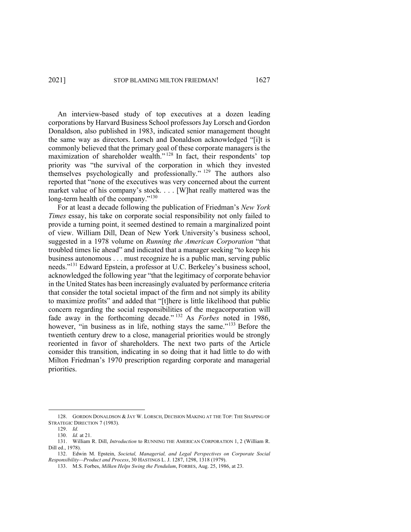An interview-based study of top executives at a dozen leading corporations by Harvard Business School professors Jay Lorsch and Gordon Donaldson, also published in 1983, indicated senior management thought the same way as directors. Lorsch and Donaldson acknowledged "[i]t is commonly believed that the primary goal of these corporate managers is the maximization of shareholder wealth."<sup>128</sup> In fact, their respondents' top priority was "the survival of the corporation in which they invested themselves psychologically and professionally." <sup>129</sup> The authors also reported that "none of the executives was very concerned about the current market value of his company's stock. . . . [W]hat really mattered was the long-term health of the company."<sup>130</sup>

For at least a decade following the publication of Friedman's *New York Times* essay, his take on corporate social responsibility not only failed to provide a turning point, it seemed destined to remain a marginalized point of view. William Dill, Dean of New York University's business school, suggested in a 1978 volume on *Running the American Corporation* "that troubled times lie ahead" and indicated that a manager seeking "to keep his business autonomous . . . must recognize he is a public man, serving public needs."131 Edward Epstein, a professor at U.C. Berkeley's business school, acknowledged the following year "that the legitimacy of corporate behavior in the United States has been increasingly evaluated by performance criteria that consider the total societal impact of the firm and not simply its ability to maximize profits" and added that "[t]here is little likelihood that public concern regarding the social responsibilities of the megacorporation will fade away in the forthcoming decade." <sup>132</sup> As *Forbes* noted in 1986, however, "in business as in life, nothing stays the same."<sup>133</sup> Before the twentieth century drew to a close, managerial priorities would be strongly reoriented in favor of shareholders. The next two parts of the Article consider this transition, indicating in so doing that it had little to do with Milton Friedman's 1970 prescription regarding corporate and managerial priorities.

<sup>128.</sup> GORDON DONALDSON & JAY W. LORSCH, DECISION MAKING AT THE TOP: THE SHAPING OF STRATEGIC DIRECTION 7 (1983).

<sup>129.</sup> *Id.*

<sup>130.</sup> *Id.* at 21.

<sup>131.</sup> William R. Dill, *Introduction* to RUNNING THE AMERICAN CORPORATION 1, 2 (William R. Dill ed., 1978).

<sup>132.</sup> Edwin M. Epstein, *Societal, Managerial, and Legal Perspectives on Corporate Social Responsibility—Product and Process*, 30 HASTINGS L. J. 1287, 1298, 1318 (1979).

<sup>133.</sup> M.S. Forbes, *Milken Helps Swing the Pendulum*, FORBES, Aug. 25, 1986, at 23.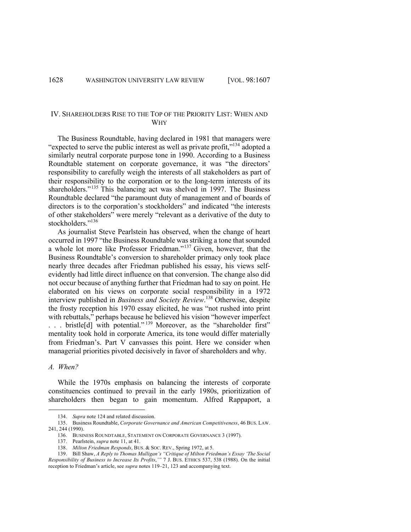## IV. SHAREHOLDERS RISE TO THE TOP OF THE PRIORITY LIST: WHEN AND **WHY**

The Business Roundtable, having declared in 1981 that managers were "expected to serve the public interest as well as private profit,"<sup>134</sup> adopted a similarly neutral corporate purpose tone in 1990. According to a Business Roundtable statement on corporate governance, it was "the directors' responsibility to carefully weigh the interests of all stakeholders as part of their responsibility to the corporation or to the long-term interests of its shareholders."<sup>135</sup> This balancing act was shelved in 1997. The Business Roundtable declared "the paramount duty of management and of boards of directors is to the corporation's stockholders" and indicated "the interests of other stakeholders" were merely "relevant as a derivative of the duty to stockholders."<sup>136</sup>

As journalist Steve Pearlstein has observed, when the change of heart occurred in 1997 "the Business Roundtable was striking a tone that sounded a whole lot more like Professor Friedman."<sup>137</sup> Given, however, that the Business Roundtable's conversion to shareholder primacy only took place nearly three decades after Friedman published his essay, his views selfevidently had little direct influence on that conversion. The change also did not occur because of anything further that Friedman had to say on point. He elaborated on his views on corporate social responsibility in a 1972 interview published in *Business and Society Review*. <sup>138</sup> Otherwise, despite the frosty reception his 1970 essay elicited, he was "not rushed into print with rebuttals," perhaps because he believed his vision "however imperfect ... bristle[d] with potential."<sup>139</sup> Moreover, as the "shareholder first" mentality took hold in corporate America, its tone would differ materially from Friedman's. Part V canvasses this point. Here we consider when managerial priorities pivoted decisively in favor of shareholders and why.

## *A. When?*

While the 1970s emphasis on balancing the interests of corporate constituencies continued to prevail in the early 1980s, prioritization of shareholders then began to gain momentum. Alfred Rappaport, a

<sup>134.</sup> *Supra* note 124 and related discussion.

<sup>135.</sup> Business Roundtable, *Corporate Governance and American Competitiveness*, 46 BUS. LAW. 241, 244 (1990).

<sup>136.</sup> BUSINESS ROUNDTABLE, STATEMENT ON CORPORATE GOVERNANCE 3 (1997).

<sup>137.</sup> Pearlstein, *supra* note 11, at 41.

<sup>138.</sup> *Milton Friedman Responds*, BUS. & SOC. REV., Spring 1972, at 5.

<sup>139.</sup> Bill Shaw, *A Reply to Thomas Mulligan's "Critique of Milton Friedman's Essay 'The Social Responsibility of Business to Increase Its Profits*,*'"* 7 J. BUS. ETHICS 537, 538 (1988). On the initial reception to Friedman's article, see *supra* notes 119–21, 123 and accompanying text.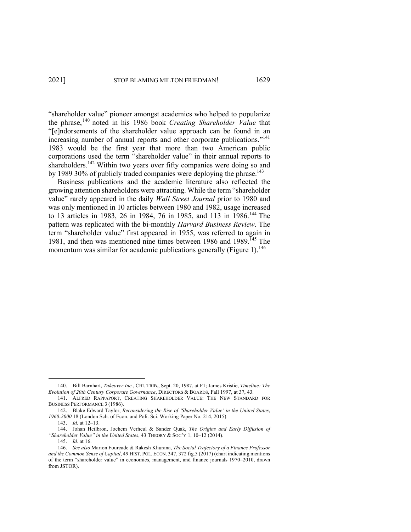"shareholder value" pioneer amongst academics who helped to popularize the phrase, <sup>140</sup> noted in his 1986 book *Creating Shareholder Value* that "[e]ndorsements of the shareholder value approach can be found in an increasing number of annual reports and other corporate publications."<sup>141</sup> 1983 would be the first year that more than two American public corporations used the term "shareholder value" in their annual reports to shareholders.<sup>142</sup> Within two years over fifty companies were doing so and by 1989 30% of publicly traded companies were deploying the phrase.<sup>143</sup>

Business publications and the academic literature also reflected the growing attention shareholders were attracting. While the term "shareholder value" rarely appeared in the daily *Wall Street Journal* prior to 1980 and was only mentioned in 10 articles between 1980 and 1982, usage increased to 13 articles in 1983, 26 in 1984, 76 in 1985, and 113 in 1986.<sup>144</sup> The pattern was replicated with the bi-monthly *Harvard Business Review*. The term "shareholder value" first appeared in 1955, was referred to again in 1981, and then was mentioned nine times between 1986 and 1989.<sup>145</sup> The momentum was similar for academic publications generally (Figure 1).<sup>146</sup>

<sup>140.</sup> Bill Barnhart, *Takeover Inc.*, CHI. TRIB., Sept. 20, 1987, at F1; James Kristie, *Timeline: The Evolution of 20th Century Corporate Governance*, DIRECTORS & BOARDS, Fall 1997, at 37, 43.

<sup>141.</sup> ALFRED RAPPAPORT, CREATING SHAREHOLDER VALUE: THE NEW STANDARD FOR BUSINESS PERFORMANCE 3 (1986).

<sup>142.</sup> Blake Edward Taylor, *Reconsidering the Rise of 'Shareholder Value' in the United States*, *1960-2000* 18 (London Sch. of Econ. and Poli. Sci. Working Paper No. 214, 2015).

<sup>143.</sup> *Id.* at 12–13.

<sup>144.</sup> Johan Heilbron, Jochem Verheul & Sander Quak, *The Origins and Early Diffusion of "Shareholder Value" in the United States*, 43 THEORY & SOC'Y 1, 10–12 (2014).

<sup>145.</sup> *Id.* at 16.

<sup>146.</sup> *See also* Marion Fourcade & Rakesh Khurana, *The Social Trajectory of a Finance Professor and the Common Sense of Capital*, 49 HIST. POL. ECON. 347, 372 fig.5 (2017) (chart indicating mentions of the term "shareholder value" in economics, management, and finance journals 1970–2010, drawn from JSTOR).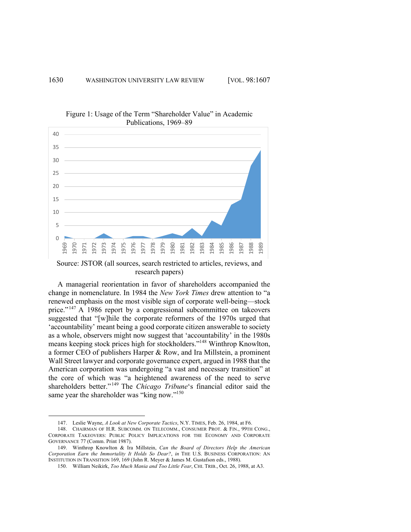

Figure 1: Usage of the Term "Shareholder Value" in Academic Publications, 1969–89

research papers)

A managerial reorientation in favor of shareholders accompanied the change in nomenclature. In 1984 the *New York Times* drew attention to "a renewed emphasis on the most visible sign of corporate well-being—stock price."<sup>147</sup> A 1986 report by a congressional subcommittee on takeovers suggested that "[w]hile the corporate reformers of the 1970s urged that 'accountability' meant being a good corporate citizen answerable to society as a whole, observers might now suggest that 'accountability' in the 1980s means keeping stock prices high for stockholders."148 Winthrop Knowlton, a former CEO of publishers Harper & Row, and Ira Millstein, a prominent Wall Street lawyer and corporate governance expert, argued in 1988 that the American corporation was undergoing "a vast and necessary transition" at the core of which was "a heightened awareness of the need to serve shareholders better."<sup>149</sup> The *Chicago Tribune's* financial editor said the same year the shareholder was "king now."<sup>150</sup>

<sup>147.</sup> Leslie Wayne, *A Look at New Corporate Tactics*, N.Y. TIMES, Feb. 26, 1984, at F6.

<sup>148.</sup> CHAIRMAN OF H.R. SUBCOMM. ON TELECOMM., CONSUMER PROT. & FIN., 99TH CONG., CORPORATE TAKEOVERS: PUBLIC POLICY IMPLICATIONS FOR THE ECONOMY AND CORPORATE GOVERNANCE 77 (Comm. Print 1987).

<sup>149.</sup> Winthrop Knowlton & Ira Millstein, *Can the Board of Directors Help the American Corporation Earn the Immortality It Holds So Dear?*, *in* THE U.S. BUSINESS CORPORATION: AN INSTITUTION IN TRANSITION 169, 169 (John R. Meyer & James M. Gustafson eds., 1988).

<sup>150.</sup> William Neikirk, *Too Much Mania and Too Little Fear*, CHI. TRIB., Oct. 26, 1988, at A3.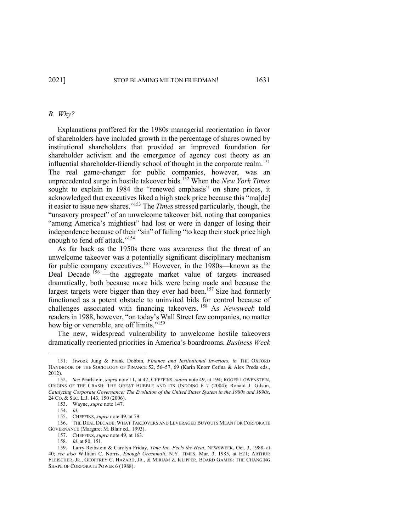### *B. Why?*

Explanations proffered for the 1980s managerial reorientation in favor of shareholders have included growth in the percentage of shares owned by institutional shareholders that provided an improved foundation for shareholder activism and the emergence of agency cost theory as an influential shareholder-friendly school of thought in the corporate realm. 151 The real game-changer for public companies, however, was an unprecedented surge in hostile takeover bids.152 When the *New York Times* sought to explain in 1984 the "renewed emphasis" on share prices, it acknowledged that executives liked a high stock price because this "ma[de] it easier to issue new shares."<sup>153</sup> The *Times* stressed particularly, though, the "unsavory prospect" of an unwelcome takeover bid, noting that companies "among America's mightiest" had lost or were in danger of losing their independence because of their "sin" of failing "to keep their stock price high enough to fend off attack."<sup>154</sup>

As far back as the 1950s there was awareness that the threat of an unwelcome takeover was a potentially significant disciplinary mechanism for public company executives.<sup>155</sup> However, in the 1980s—known as the Deal Decade <sup>156</sup> —the aggregate market value of targets increased dramatically, both because more bids were being made and because the largest targets were bigger than they ever had been.<sup>157</sup> Size had formerly functioned as a potent obstacle to uninvited bids for control because of challenges associated with financing takeovers. <sup>158</sup> As *Newsweek* told readers in 1988, however, "on today's Wall Street few companies, no matter how big or venerable, are off limits."<sup>159</sup>

The new, widespread vulnerability to unwelcome hostile takeovers dramatically reoriented priorities in America's boardrooms. *Business Week*

157. CHEFFINS, *supra* note 49, at 163.

<sup>151.</sup> Jiwook Jung & Frank Dobbin, *Finance and Institutional Investors*, *in* THE OXFORD HANDBOOK OF THE SOCIOLOGY OF FINANCE 52, 56–57, 69 (Karin Knorr Cetina & Alex Preda eds., 2012).

<sup>152.</sup> *See* Pearlstein, *supra* note 11, at 42; CHEFFINS, *supra* note 49, at 194; ROGER LOWENSTEIN, ORIGINS OF THE CRASH: THE GREAT BUBBLE AND ITS UNDOING 6–7 (2004); Ronald J. Gilson, *Catalyzing Corporate Governance: The Evolution of the United States System in the 1980s and 1990s*, 24 CO. & SEC. L.J. 143, 150 (2006).

<sup>153.</sup> Wayne, *supra* note 147.

<sup>154.</sup> *Id.*

<sup>155.</sup> CHEFFINS, *supra* note 49, at 79.

<sup>156.</sup> THE DEAL DECADE: WHAT TAKEOVERS AND LEVERAGED BUYOUTS MEAN FOR CORPORATE GOVERNANCE (Margaret M. Blair ed., 1993).

<sup>158.</sup> *Id.* at 80, 151.

<sup>159.</sup> Larry Reibstein & Carolyn Friday, *Time Inc. Feels the Heat*, NEWSWEEK, Oct. 3, 1988, at 40; *see also* William C. Norris, *Enough Greenmail*, N.Y. TIMES, Mar. 3, 1985, at E21; ARTHUR FLEISCHER, JR., GEOFFREY C. HAZARD, JR., & MIRIAM Z. KLIPPER, BOARD GAMES: THE CHANGING SHAPE OF CORPORATE POWER 6 (1988).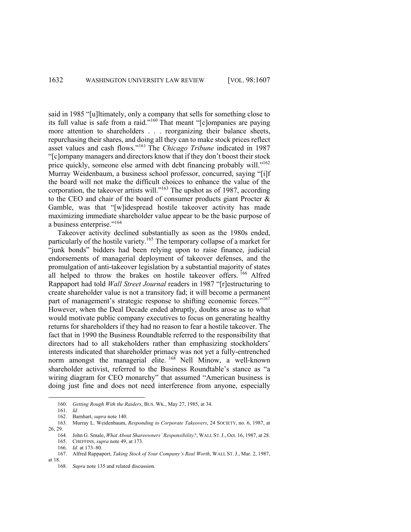said in 1985 "[u]ltimately, only a company that sells for something close to its full value is safe from a raid."<sup>160</sup> That meant "[c]ompanies are paying more attention to shareholders . . . reorganizing their balance sheets, repurchasing their shares, and doing all they can to make stock prices reflect asset values and cash flows."<sup>161</sup> The *Chicago Tribune* indicated in 1987 "[c]ompany managers and directors know that if they don't boost their stock price quickly, someone else armed with debt financing probably will."<sup>162</sup> Murray Weidenbaum, a business school professor, concurred, saying "[i]f the board will not make the difficult choices to enhance the value of the corporation, the takeover artists will."163 The upshot as of 1987, according to the CEO and chair of the board of consumer products giant Procter & Gamble, was that "[w]idespread hostile takeover activity has made maximizing immediate shareholder value appear to be the basic purpose of a business enterprise."164

Takeover activity declined substantially as soon as the 1980s ended, particularly of the hostile variety.<sup>165</sup> The temporary collapse of a market for "junk bonds" bidders had been relying upon to raise finance, judicial endorsements of managerial deployment of takeover defenses, and the promulgation of anti-takeover legislation by a substantial majority of states all helped to throw the brakes on hostile takeover offers. <sup>166</sup> Alfred Rappaport had told *Wall Street Journal* readers in 1987 "[r]estructuring to create shareholder value is not a transitory fad; it will become a permanent part of management's strategic response to shifting economic forces."<sup>167</sup> However, when the Deal Decade ended abruptly, doubts arose as to what would motivate public company executives to focus on generating healthy returns for shareholders if they had no reason to fear a hostile takeover. The fact that in 1990 the Business Roundtable referred to the responsibility that directors had to all stakeholders rather than emphasizing stockholders' interests indicated that shareholder primacy was not yet a fully-entrenched norm amongst the managerial elite.  $168$  Nell Minow, a well-known shareholder activist, referred to the Business Roundtable's stance as "a wiring diagram for CEO monarchy" that assumed "American business is doing just fine and does not need interference from anyone, especially

<sup>160.</sup> *Getting Rough With the Raiders*, BUS. WK., May 27, 1985, at 34.

<sup>161.</sup> *Id.*

<sup>162.</sup> Barnhart, *supra* note 140.

<sup>163.</sup> Murray L. Weidenbaum, *Responding to Corporate Takeovers*, 24 SOCIETY, no. 6, 1987, at 26, 29.

<sup>164.</sup> John G. Smale, *What About Shareowners' Responsibility?*, WALL ST.J., Oct. 16, 1987, at 28. 165. CHEFFINS, *supra* note 49, at 173.

<sup>166.</sup> *Id.* at 173–80.

<sup>167.</sup> Alfred Rappaport, *Taking Stock of Your Company's Real Worth*, WALL ST. J., Mar. 2, 1987,

at 18.

<sup>168.</sup> *Supra* note 135 and related discussion.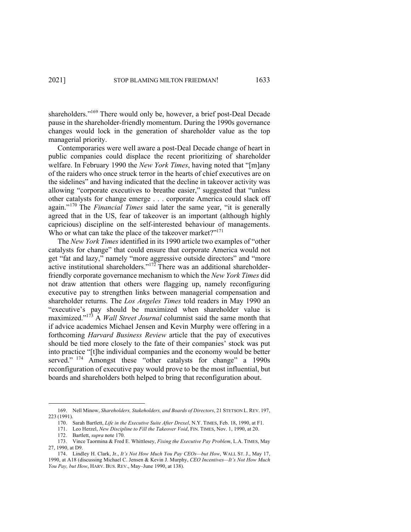shareholders."<sup>169</sup> There would only be, however, a brief post-Deal Decade pause in the shareholder-friendly momentum. During the 1990s governance changes would lock in the generation of shareholder value as the top managerial priority.

Contemporaries were well aware a post-Deal Decade change of heart in public companies could displace the recent prioritizing of shareholder welfare. In February 1990 the *New York Times*, having noted that "[m]any of the raiders who once struck terror in the hearts of chief executives are on the sidelines" and having indicated that the decline in takeover activity was allowing "corporate executives to breathe easier," suggested that "unless other catalysts for change emerge . . . corporate America could slack off again."<sup>170</sup> The *Financial Times* said later the same year, "it is generally agreed that in the US, fear of takeover is an important (although highly capricious) discipline on the self-interested behaviour of managements. Who or what can take the place of the takeover market?"<sup>171</sup>

The *New York Times* identified in its 1990 article two examples of "other catalysts for change" that could ensure that corporate America would not get "fat and lazy," namely "more aggressive outside directors" and "more active institutional shareholders."<sup>172</sup> There was an additional shareholderfriendly corporate governance mechanism to which the *New York Times* did not draw attention that others were flagging up, namely reconfiguring executive pay to strengthen links between managerial compensation and shareholder returns. The *Los Angeles Times* told readers in May 1990 an "executive's pay should be maximized when shareholder value is maximized."173 A *Wall Street Journal* columnist said the same month that if advice academics Michael Jensen and Kevin Murphy were offering in a forthcoming *Harvard Business Review* article that the pay of executives should be tied more closely to the fate of their companies' stock was put into practice "[t]he individual companies and the economy would be better served." <sup>174</sup> Amongst these "other catalysts for change" a 1990s reconfiguration of executive pay would prove to be the most influential, but boards and shareholders both helped to bring that reconfiguration about.

<sup>169.</sup> Nell Minow, *Shareholders, Stakeholders, and Boards of Directors*, 21 STETSON L. REV. 197, 223 (1991).

<sup>170.</sup> Sarah Bartlett, *Life in the Executive Suite After Drexel*, N.Y. TIMES, Feb. 18, 1990, at F1.

<sup>171.</sup> Leo Herzel, *New Discipline to Fill the Takeover Void*, FIN. TIMES, Nov. 1, 1990, at 20. 172. Bartlett, *supra* note 170.

<sup>173.</sup> Vince Taormina & Fred E. Whittlesey, *Fixing the Executive Pay Problem*, L.A. TIMES, May 27, 1990, at D9.

<sup>174.</sup> Lindley H. Clark, Jr., *It's Not How Much You Pay CEOs—but How*, WALL ST. J., May 17, 1990, at A18 (discussing Michael C. Jensen & Kevin J. Murphy, *CEO Incentives—It's Not How Much You Pay, but How*, HARV. BUS. REV., May–June 1990, at 138).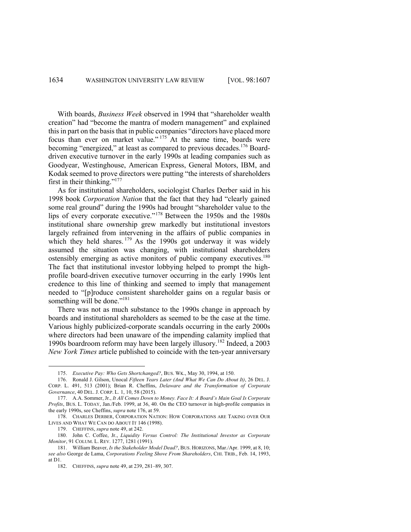With boards, *Business Week* observed in 1994 that "shareholder wealth creation" had "become the mantra of modern management" and explained this in part on the basis that in public companies "directors have placed more focus than ever on market value." <sup>175</sup> At the same time, boards were becoming "energized," at least as compared to previous decades.<sup>176</sup> Boarddriven executive turnover in the early 1990s at leading companies such as Goodyear, Westinghouse, American Express, General Motors, IBM, and Kodak seemed to prove directors were putting "the interests of shareholders first in their thinking."177

As for institutional shareholders, sociologist Charles Derber said in his 1998 book *Corporation Nation* that the fact that they had "clearly gained some real ground" during the 1990s had brought "shareholder value to the lips of every corporate executive."<sup>178</sup> Between the 1950s and the 1980s institutional share ownership grew markedly but institutional investors largely refrained from intervening in the affairs of public companies in which they held shares.  $179$  As the 1990s got underway it was widely assumed the situation was changing, with institutional shareholders ostensibly emerging as active monitors of public company executives.<sup>180</sup> The fact that institutional investor lobbying helped to prompt the highprofile board-driven executive turnover occurring in the early 1990s lent credence to this line of thinking and seemed to imply that management needed to "[p]roduce consistent shareholder gains on a regular basis or something will be done."<sup>181</sup>

There was not as much substance to the 1990s change in approach by boards and institutional shareholders as seemed to be the case at the time. Various highly publicized-corporate scandals occurring in the early 2000s where directors had been unaware of the impending calamity implied that 1990s boardroom reform may have been largely illusory.<sup>182</sup> Indeed, a 2003 *New York Times* article published to coincide with the ten-year anniversary

<sup>175.</sup> *Executive Pay: Who Gets Shortchanged?*, BUS. WK., May 30, 1994, at 150.

<sup>176.</sup> Ronald J. Gilson, Unocal *Fifteen Years Later (And What We Can Do About It)*, 26 DEL. J. CORP. L. 491, 513 (2001); Brian R. Cheffins, *Delaware and the Transformation of Corporate Governance*, 40 DEL. J. CORP. L. 1, 10, 58 (2015).

<sup>177.</sup> A.A. Sommer, Jr., *It All Comes Down to Money. Face It: A Board's Main Goal Is Corporate Profits*, BUS. L. TODAY, Jan./Feb. 1999, at 36, 40. On the CEO turnover in high-profile companies in the early 1990s, see Cheffins, *supra* note 176, at 59.

<sup>178.</sup> CHARLES DERBER, CORPORATION NATION: HOW CORPORATIONS ARE TAKING OVER OUR LIVES AND WHAT WE CAN DO ABOUT IT 146 (1998).

<sup>179.</sup> CHEFFINS, *supra* note 49, at 242.

<sup>180.</sup> John C. Coffee, Jr., *Liquidity Versus Control: The Institutional Investor as Corporate Monitor*, 91 COLUM. L. REV. 1277, 1281 (1991).

<sup>181.</sup> William Beaver, *Is the Stakeholder Model Dead?*, BUS. HORIZONS, Mar./Apr. 1999, at 8, 10; *see also* George de Lama, *Corporations Feeling Shove From Shareholders*, CHI. TRIB., Feb. 14, 1993, at D1.

<sup>182.</sup> CHEFFINS, *supra* note 49, at 239, 281–89, 307.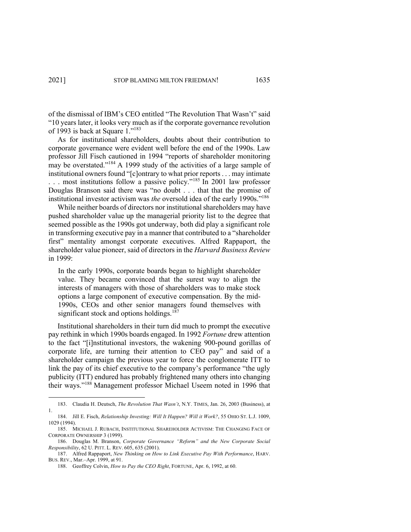of the dismissal of IBM's CEO entitled "The Revolution That Wasn't" said "10 years later, it looks very much as if the corporate governance revolution of 1993 is back at Square 1."<sup>183</sup>

As for institutional shareholders, doubts about their contribution to corporate governance were evident well before the end of the 1990s. Law professor Jill Fisch cautioned in 1994 "reports of shareholder monitoring may be overstated."<sup>184</sup> A 1999 study of the activities of a large sample of institutional owners found "[c]ontrary to what prior reports . . . may intimate ... most institutions follow a passive policy."<sup>185</sup> In 2001 law professor Douglas Branson said there was "no doubt . . . that that the promise of institutional investor activism was *the* oversold idea of the early 1990s."<sup>186</sup>

While neither boards of directors nor institutional shareholders may have pushed shareholder value up the managerial priority list to the degree that seemed possible as the 1990s got underway, both did play a significant role in transforming executive pay in a manner that contributed to a "shareholder first" mentality amongst corporate executives. Alfred Rappaport, the shareholder value pioneer, said of directors in the *Harvard Business Review* in 1999:

In the early 1990s, corporate boards began to highlight shareholder value. They became convinced that the surest way to align the interests of managers with those of shareholders was to make stock options a large component of executive compensation. By the mid-1990s, CEOs and other senior managers found themselves with significant stock and options holdings.<sup>187</sup>

Institutional shareholders in their turn did much to prompt the executive pay rethink in which 1990s boards engaged. In 1992 *Fortune* drew attention to the fact "[i]nstitutional investors, the wakening 900-pound gorillas of corporate life, are turning their attention to CEO pay" and said of a shareholder campaign the previous year to force the conglomerate ITT to link the pay of its chief executive to the company's performance "the ugly publicity (ITT) endured has probably frightened many others into changing their ways."<sup>188</sup> Management professor Michael Useem noted in 1996 that

<sup>183.</sup> Claudia H. Deutsch, *The Revolution That Wasn't*, N.Y. TIMES, Jan. 26, 2003 (Business), at 1.

<sup>184.</sup> Jill E. Fisch, *Relationship Investing: Will It Happen? Will it Work?*, 55 OHIO ST. L.J. 1009, 1029 (1994).

<sup>185.</sup> MICHAEL J. RUBACH, INSTITUTIONAL SHAREHOLDER ACTIVISM: THE CHANGING FACE OF CORPORATE OWNERSHIP 3 (1999).

<sup>186.</sup> Douglas M. Branson, *Corporate Governance "Reform" and the New Corporate Social Responsibility*, 62 U. PITT. L. REV. 605, 635 (2001).

<sup>187.</sup> Alfred Rappaport, *New Thinking on How to Link Executive Pay With Performance*, HARV. BUS. REV., Mar.–Apr. 1999, at 91.

<sup>188.</sup> Geoffrey Colvin, *How to Pay the CEO Right*, FORTUNE, Apr. 6, 1992, at 60.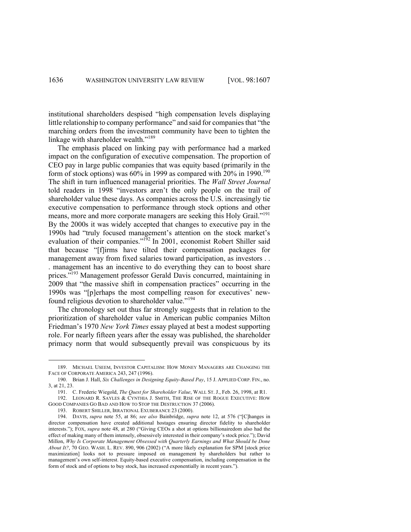institutional shareholders despised "high compensation levels displaying little relationship to company performance" and said for companies that "the marching orders from the investment community have been to tighten the linkage with shareholder wealth."<sup>189</sup>

The emphasis placed on linking pay with performance had a marked impact on the configuration of executive compensation. The proportion of CEO pay in large public companies that was equity based (primarily in the form of stock options) was  $60\%$  in 1999 as compared with  $20\%$  in 1990.<sup>190</sup> The shift in turn influenced managerial priorities. The *Wall Street Journal* told readers in 1998 "investors aren't the only people on the trail of shareholder value these days. As companies across the U.S. increasingly tie executive compensation to performance through stock options and other means, more and more corporate managers are seeking this Holy Grail."<sup>191</sup> By the 2000s it was widely accepted that changes to executive pay in the 1990s had "truly focused management's attention on the stock market's evaluation of their companies."<sup>192</sup> In 2001, economist Robert Shiller said that because "[f]irms have tilted their compensation packages for management away from fixed salaries toward participation, as investors . . . management has an incentive to do everything they can to boost share prices."<sup>193</sup> Management professor Gerald Davis concurred, maintaining in 2009 that "the massive shift in compensation practices" occurring in the 1990s was "[p]erhaps the most compelling reason for executives' newfound religious devotion to shareholder value."<sup>194</sup>

The chronology set out thus far strongly suggests that in relation to the prioritization of shareholder value in American public companies Milton Friedman's 1970 *New York Times* essay played at best a modest supporting role. For nearly fifteen years after the essay was published, the shareholder primacy norm that would subsequently prevail was conspicuous by its

193. ROBERT SHILLER, IRRATIONAL EXUBERANCE 23 (2000).

<sup>189.</sup> MICHAEL USEEM, INVESTOR CAPITALISM: HOW MONEY MANAGERS ARE CHANGING THE FACE OF CORPORATE AMERICA 243, 247 (1996).

<sup>190.</sup> Brian J. Hall, *Six Challenges in Designing Equity-Based Pay*, 15 J. APPLIED CORP. FIN., no. 3, at 21, 23.

<sup>191.</sup> C. Frederic Wiegold, *The Quest for Shareholder Value*, WALL ST. J., Feb. 26, 1998, at R1.

<sup>192.</sup> LEONARD R. SAYLES & CYNTHIA J. SMITH, THE RISE OF THE ROGUE EXECUTIVE: HOW GOOD COMPANIES GO BAD AND HOW TO STOP THE DESTRUCTION 37 (2006).

<sup>194.</sup> DAVIS, *supra* note 55, at 86; *see also* Bainbridge, *supra* note 12, at 576 ("[C]hanges in director compensation have created additional hostages ensuring director fidelity to shareholder interests."); FOX, *supra* note 48, at 280 ("Giving CEOs a shot at options billionairedom also had the effect of making many of them intensely, obsessively interested in their company's stock price."); David Millon, *Why Is Corporate Management Obsessed with Quarterly Earnings and What Should be Done About It?*, 70 GEO. WASH. L. REV. 890, 906 (2002) ("A more likely explanation for SPM [stock price maximization] looks not to pressure imposed on management by shareholders but rather to management's own self-interest. Equity-based executive compensation, including compensation in the form of stock and of options to buy stock, has increased exponentially in recent years.").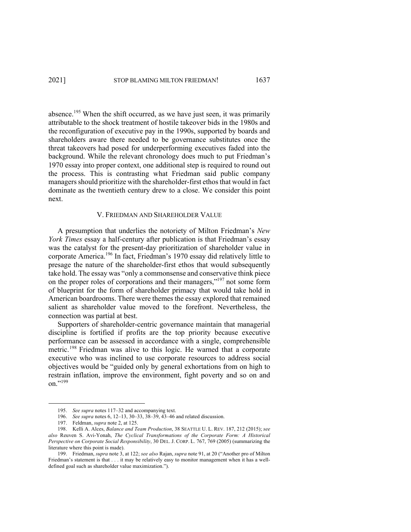absence.<sup>195</sup> When the shift occurred, as we have just seen, it was primarily attributable to the shock treatment of hostile takeover bids in the 1980s and the reconfiguration of executive pay in the 1990s, supported by boards and shareholders aware there needed to be governance substitutes once the threat takeovers had posed for underperforming executives faded into the background. While the relevant chronology does much to put Friedman's 1970 essay into proper context, one additional step is required to round out the process. This is contrasting what Friedman said public company managers should prioritize with the shareholder-first ethos that would in fact dominate as the twentieth century drew to a close. We consider this point next.

### V. FRIEDMAN AND SHAREHOLDER VALUE

A presumption that underlies the notoriety of Milton Friedman's *New York Times* essay a half-century after publication is that Friedman's essay was the catalyst for the present-day prioritization of shareholder value in corporate America.196 In fact, Friedman's 1970 essay did relatively little to presage the nature of the shareholder-first ethos that would subsequently take hold. The essay was "only a commonsense and conservative think piece on the proper roles of corporations and their managers,"197 not some form of blueprint for the form of shareholder primacy that would take hold in American boardrooms. There were themes the essay explored that remained salient as shareholder value moved to the forefront. Nevertheless, the connection was partial at best.

Supporters of shareholder-centric governance maintain that managerial discipline is fortified if profits are the top priority because executive performance can be assessed in accordance with a single, comprehensible metric.<sup>198</sup> Friedman was alive to this logic. He warned that a corporate executive who was inclined to use corporate resources to address social objectives would be "guided only by general exhortations from on high to restrain inflation, improve the environment, fight poverty and so on and on."<sup>199</sup>

<sup>195.</sup> *See supra* notes 117–32 and accompanying text.

<sup>196.</sup> *See supra* notes 6, 12–13, 30–33, 38–39, 43–46 and related discussion.

<sup>197.</sup> Feldman, *supra* note 2, at 125.

<sup>198.</sup> Kelli A. Alces, *Balance and Team Production*, 38 SEATTLE U. L. REV. 187, 212 (2015); *see also* Reuven S. Avi-Yonah, *The Cyclical Transformations of the Corporate Form: A Historical Perspective on Corporate Social Responsibility*, 30 DEL. J. CORP. L. 767, 769 (2005) (summarizing the literature where this point is made).

<sup>199.</sup> Friedman, *supra* note 3, at 122; *see also* Rajan, *supra* note 91, at 20 ("Another pro of Milton Friedman's statement is that . . . it may be relatively easy to monitor management when it has a welldefined goal such as shareholder value maximization.").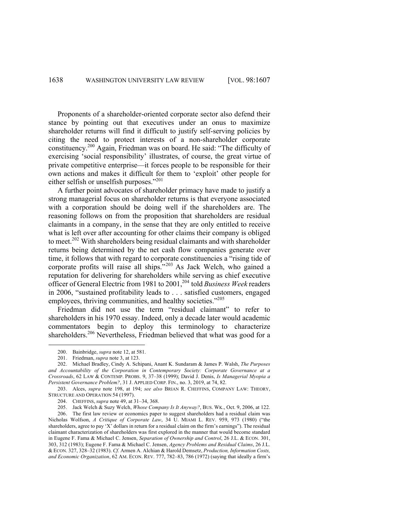Proponents of a shareholder-oriented corporate sector also defend their stance by pointing out that executives under an onus to maximize shareholder returns will find it difficult to justify self-serving policies by citing the need to protect interests of a non-shareholder corporate constituency.200 Again, Friedman was on board. He said: "The difficulty of exercising 'social responsibility' illustrates, of course, the great virtue of private competitive enterprise—it forces people to be responsible for their own actions and makes it difficult for them to 'exploit' other people for either selfish or unselfish purposes."<sup>201</sup>

A further point advocates of shareholder primacy have made to justify a strong managerial focus on shareholder returns is that everyone associated with a corporation should be doing well if the shareholders are. The reasoning follows on from the proposition that shareholders are residual claimants in a company, in the sense that they are only entitled to receive what is left over after accounting for other claims their company is obliged to meet.<sup>202</sup> With shareholders being residual claimants and with shareholder returns being determined by the net cash flow companies generate over time, it follows that with regard to corporate constituencies a "rising tide of corporate profits will raise all ships."<sup>203</sup> As Jack Welch, who gained a reputation for delivering for shareholders while serving as chief executive officer of General Electric from 1981 to 2001, <sup>204</sup> told *Business Week* readers in 2006, "sustained profitability leads to . . . satisfied customers, engaged employees, thriving communities, and healthy societies."<sup>205</sup>

Friedman did not use the term "residual claimant" to refer to shareholders in his 1970 essay. Indeed, only a decade later would academic commentators begin to deploy this terminology to characterize shareholders.<sup>206</sup> Nevertheless, Friedman believed that what was good for a

<sup>200.</sup> Bainbridge, *supra* note 12, at 581.

<sup>201.</sup> Friedman, *supra* note 3, at 123.

<sup>202.</sup> Michael Bradley, Cindy A. Schipani, Anant K. Sundaram & James P. Walsh, *The Purposes and Accountability of the Corporation in Contemporary Society: Corporate Governance at a Crossroads*, 62 LAW & CONTEMP. PROBS. 9, 37–38 (1999); David J. Denis, *Is Managerial Myopia a Persistent Governance Problem?*, 31 J. APPLIED CORP. FIN., no. 3, 2019, at 74, 82.

<sup>203.</sup> Alces, *supra* note 198, at 194; *see also* BRIAN R. CHEFFINS, COMPANY LAW: THEORY, STRUCTURE AND OPERATION 54 (1997).

<sup>204.</sup> CHEFFINS, *supra* note 49, at 31–34, 368.

<sup>205.</sup> Jack Welch & Suzy Welch, *Whose Company Is It Anyway?*, BUS. WK., Oct. 9, 2006, at 122.

<sup>206.</sup> The first law review or economics paper to suggest shareholders had a residual claim was Nicholas Wolfson, *A Critique of Corporate Law*, 34 U. MIAMI L. REV. 959, 973 (1980) ("the shareholders, agree to pay 'X' dollars in return for a residual claim on the firm's earnings"). The residual claimant characterization of shareholders was first explored in the manner that would become standard in Eugene F. Fama & Michael C. Jensen, *Separation of Ownership and Control*, 26 J.L. & ECON. 301, 303, 312 (1983); Eugene F. Fama & Michael C. Jensen, *Agency Problems and Residual Claims*, 26 J.L. & ECON. 327, 328–32 (1983). *Cf.* Armen A. Alchian & Harold Demsetz, *Production, Information Costs, and Economic Organization*, 62 AM. ECON. REV. 777, 782–83, 786 (1972) (saying that ideally a firm's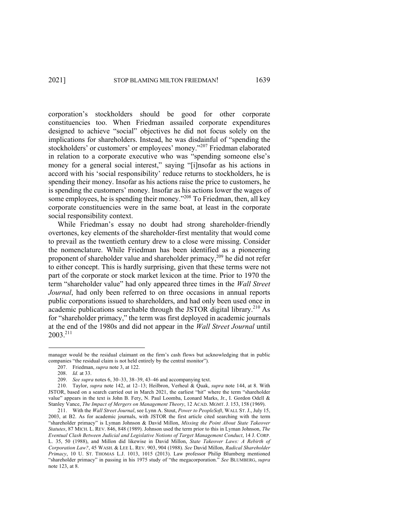corporation's stockholders should be good for other corporate constituencies too. When Friedman assailed corporate expenditures designed to achieve "social" objectives he did not focus solely on the implications for shareholders. Instead, he was disdainful of "spending the stockholders' or customers' or employees' money."<sup>207</sup> Friedman elaborated in relation to a corporate executive who was "spending someone else's money for a general social interest," saying "[i]nsofar as his actions in accord with his 'social responsibility' reduce returns to stockholders, he is spending their money. Insofar as his actions raise the price to customers, he is spending the customers' money. Insofar as his actions lower the wages of some employees, he is spending their money."<sup>208</sup> To Friedman, then, all key corporate constituencies were in the same boat, at least in the corporate social responsibility context.

While Friedman's essay no doubt had strong shareholder-friendly overtones, key elements of the shareholder-first mentality that would come to prevail as the twentieth century drew to a close were missing. Consider the nomenclature. While Friedman has been identified as a pioneering proponent of shareholder value and shareholder primacy,<sup>209</sup> he did not refer to either concept. This is hardly surprising, given that these terms were not part of the corporate or stock market lexicon at the time. Prior to 1970 the term "shareholder value" had only appeared three times in the *Wall Street Journal*, had only been referred to on three occasions in annual reports public corporations issued to shareholders, and had only been used once in academic publications searchable through the JSTOR digital library.<sup>210</sup> As for "shareholder primacy," the term was first deployed in academic journals at the end of the 1980s and did not appear in the *Wall Street Journal* until 2003. 211

manager would be the residual claimant on the firm's cash flows but acknowledging that in public companies "the residual claim is not held entirely by the central monitor").

<sup>207.</sup> Friedman, *supra* note 3, at 122.

<sup>208.</sup> *Id.* at 33.

<sup>209.</sup> *See supra* notes 6, 30–33, 38–39, 43–46 and accompanying text.

<sup>210.</sup> Taylor, *supra* note 142, at 12–13; Heilbron, Verheul & Quak, *supra* note 144, at 8. With JSTOR, based on a search carried out in March 2021, the earliest "hit" where the term "shareholder value" appears in the text is John B. Fery, N. Paul Loomba, Leonard Marks, Jr., I. Gordon Odell & Stanley Vance, *The Impact of Mergers on Management Theory*, 12 ACAD. MGMT. J. 153, 158 (1969).

<sup>211.</sup> With the *Wall Street Journal*, see Lynn A. Stout, *Power to PeopleSoft*, WALL ST. J., July 15, 2003, at B2. As for academic journals, with JSTOR the first article cited searching with the term "shareholder primacy" is Lyman Johnson & David Millon, *Missing the Point About State Takeover Statutes*, 87 MICH. L. REV. 846, 848 (1989). Johnson used the term prior to this in Lyman Johnson, *The Eventual Clash Between Judicial and Legislative Notions of Target Management Conduct*, 14 J. CORP. L. 35, 50 (1988), and Millon did likewise in David Millon, *State Takeover Laws: A Rebirth of Corporation Law?*, 45 WASH. & LEE L. REV. 903, 904 (1988). *See* David Millon, *Radical Shareholder Primacy*, 10 U. ST. THOMAS L.J. 1013, 1015 (2013). Law professor Philip Blumberg mentioned "shareholder primacy" in passing in his 1975 study of "the megacorporation." *See* BLUMBERG, *supra*  note 123, at 8.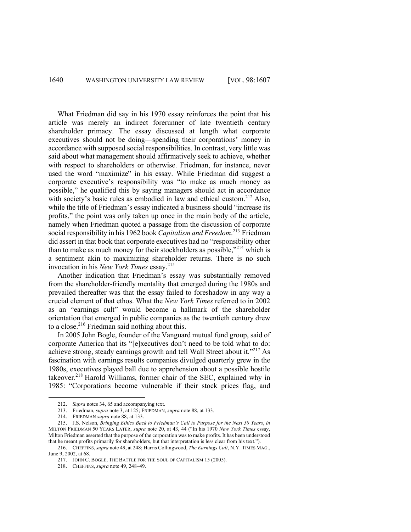What Friedman did say in his 1970 essay reinforces the point that his article was merely an indirect forerunner of late twentieth century shareholder primacy. The essay discussed at length what corporate executives should not be doing—spending their corporations' money in accordance with supposed social responsibilities. In contrast, very little was said about what management should affirmatively seek to achieve, whether with respect to shareholders or otherwise. Friedman, for instance, never used the word "maximize" in his essay. While Friedman did suggest a corporate executive's responsibility was "to make as much money as possible," he qualified this by saying managers should act in accordance with society's basic rules as embodied in law and ethical custom.<sup>212</sup> Also, while the title of Friedman's essay indicated a business should "increase its profits," the point was only taken up once in the main body of the article, namely when Friedman quoted a passage from the discussion of corporate social responsibility in his 1962 book *Capitalism and Freedom*. <sup>213</sup> Friedman did assert in that book that corporate executives had no "responsibility other than to make as much money for their stockholders as possible,"<sup>214</sup> which is a sentiment akin to maximizing shareholder returns. There is no such invocation in his *New York Times* essay.<sup>215</sup>

Another indication that Friedman's essay was substantially removed from the shareholder-friendly mentality that emerged during the 1980s and prevailed thereafter was that the essay failed to foreshadow in any way a crucial element of that ethos. What the *New York Times* referred to in 2002 as an "earnings cult" would become a hallmark of the shareholder orientation that emerged in public companies as the twentieth century drew to a close.<sup>216</sup> Friedman said nothing about this.

In 2005 John Bogle, founder of the Vanguard mutual fund group, said of corporate America that its "[e]xecutives don't need to be told what to do: achieve strong, steady earnings growth and tell Wall Street about it."<sup>217</sup> As fascination with earnings results companies divulged quarterly grew in the 1980s, executives played ball due to apprehension about a possible hostile takeover.<sup>218</sup> Harold Williams, former chair of the SEC, explained why in 1985: "Corporations become vulnerable if their stock prices flag, and

<sup>212.</sup> *Supra* notes 34, 65 and accompanying text.

<sup>213.</sup> Friedman, *supra* note 3, at 125; FRIEDMAN, *supra* note 88, at 133.

<sup>214.</sup> FRIEDMAN *supra* note 88, at 133.

<sup>215.</sup> J.S. Nelson, *Bringing Ethics Back to Friedman's Call to Purpose for the Next 50 Years*, *in*  MILTON FRIEDMAN 50 YEARS LATER, *supra* note 20, at 43, 44 ("In his 1970 *New York Times* essay, Milton Friedman asserted that the purpose of the corporation was to make profits. It has been understood that he meant profits primarily for shareholders, but that interpretation is less clear from his text.").

<sup>216.</sup> CHEFFINS, *supra* note 49, at 248; Harris Collingwood, *The Earnings Cult*, N.Y. TIMES MAG., June 9, 2002, at 68.

<sup>217.</sup> JOHN C. BOGLE, THE BATTLE FOR THE SOUL OF CAPITALISM 15 (2005).

<sup>218.</sup> CHEFFINS, *supra* note 49, 248–49.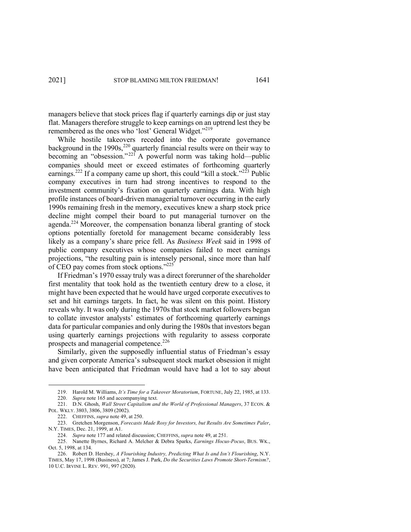managers believe that stock prices flag if quarterly earnings dip or just stay flat. Managers therefore struggle to keep earnings on an uptrend lest they be remembered as the ones who 'lost' General Widget."<sup>219</sup>

While hostile takeovers receded into the corporate governance background in the 1990s,  $^{220}$  quarterly financial results were on their way to becoming an "obsession."<sup>221</sup> A powerful norm was taking hold—public companies should meet or exceed estimates of forthcoming quarterly earnings.<sup>222</sup> If a company came up short, this could "kill a stock."<sup>223</sup> Public company executives in turn had strong incentives to respond to the investment community's fixation on quarterly earnings data. With high profile instances of board-driven managerial turnover occurring in the early 1990s remaining fresh in the memory, executives knew a sharp stock price decline might compel their board to put managerial turnover on the agenda.224 Moreover, the compensation bonanza liberal granting of stock options potentially foretold for management became considerably less likely as a company's share price fell. As *Business Week* said in 1998 of public company executives whose companies failed to meet earnings projections, "the resulting pain is intensely personal, since more than half of CEO pay comes from stock options."225

If Friedman's 1970 essay truly was a direct forerunner of the shareholder first mentality that took hold as the twentieth century drew to a close, it might have been expected that he would have urged corporate executives to set and hit earnings targets. In fact, he was silent on this point. History reveals why. It was only during the 1970s that stock market followers began to collate investor analysts' estimates of forthcoming quarterly earnings data for particular companies and only during the 1980s that investors began using quarterly earnings projections with regularity to assess corporate prospects and managerial competence. 226

Similarly, given the supposedly influential status of Friedman's essay and given corporate America's subsequent stock market obsession it might have been anticipated that Friedman would have had a lot to say about

<sup>219.</sup> Harold M. Williams, *It's Time for a Takeover Moratorium*, FORTUNE, July 22, 1985, at 133.

<sup>220.</sup> *Supra* note 165 and accompanying text.

<sup>221.</sup> D.N. Ghosh, *Wall Street Capitalism and the World of Professional Managers*, 37 ECON. & POL. WKLY. 3803, 3806, 3809 (2002).

<sup>222.</sup> CHEFFINS, *supra* note 49, at 250.

<sup>223.</sup> Gretchen Morgenson, *Forecasts Made Rosy for Investors, but Results Are Sometimes Paler*, N.Y. TIMES, Dec. 21, 1999, at A1.

<sup>224.</sup> *Supra* note 177 and related discussion; CHEFFINS, *supra* note 49, at 251.

<sup>225.</sup> Nanette Byrnes, Richard A. Melcher & Debra Sparks, *Earnings Hocus-Pocus*, BUS. WK., Oct. 5, 1998, at 134.

<sup>226.</sup> Robert D. Hershey, *A Flourishing Industry, Predicting What Is and Isn't Flourishing*, N.Y. TIMES, May 17, 1998 (Business), at 7; James J. Park, *Do the Securities Laws Promote Short-Termism?*, 10 U.C. IRVINE L. REV. 991, 997 (2020).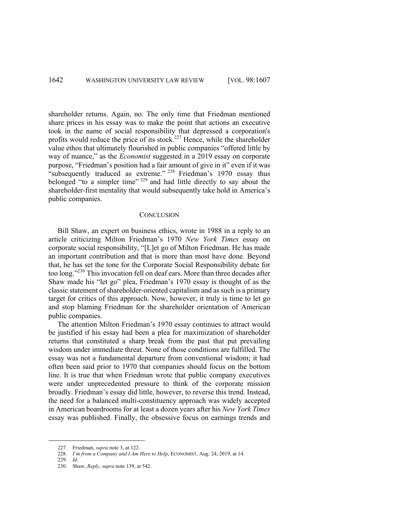shareholder returns. Again, no. The only time that Friedman mentioned share prices in his essay was to make the point that actions an executive took in the name of social responsibility that depressed a corporation's profits would reduce the price of its stock.<sup>227</sup> Hence, while the shareholder value ethos that ultimately flourished in public companies "offered little by way of nuance," as the *Economist* suggested in a 2019 essay on corporate purpose, "Friedman's position had a fair amount of give in it" even if it was "subsequently traduced as extreme."  $228$  Friedman's 1970 essay thus belonged "to a simpler time" <sup>229</sup> and had little directly to say about the shareholder-first mentality that would subsequently take hold in America's public companies.

## **CONCLUSION**

Bill Shaw, an expert on business ethics, wrote in 1988 in a reply to an article criticizing Milton Friedman's 1970 *New York Times* essay on corporate social responsibility, "[L]et go of Milton Friedman. He has made an important contribution and that is more than most have done. Beyond that, he has set the tone for the Corporate Social Responsibility debate for too long."230 This invocation fell on deaf ears. More than three decades after Shaw made his "let go" plea, Friedman's 1970 essay is thought of as the classic statement of shareholder-oriented capitalism and as such is a primary target for critics of this approach. Now, however, it truly is time to let go and stop blaming Friedman for the shareholder orientation of American public companies.

The attention Milton Friedman's 1970 essay continues to attract would be justified if his essay had been a plea for maximization of shareholder returns that constituted a sharp break from the past that put prevailing wisdom under immediate threat. None of those conditions are fulfilled. The essay was not a fundamental departure from conventional wisdom; it had often been said prior to 1970 that companies should focus on the bottom line. It is true that when Friedman wrote that public company executives were under unprecedented pressure to think of the corporate mission broadly. Friedman's essay did little, however, to reverse this trend. Instead, the need for a balanced multi-constituency approach was widely accepted in American boardrooms for at least a dozen years after his *New York Times* essay was published. Finally, the obsessive focus on earnings trends and

<sup>227.</sup> Friedman, *supra* note 3, at 122.

<sup>228.</sup> *I'm from a Company and I Am Here to Help*, ECONOMIST, Aug. 24, 2019, at 14.

<sup>229.</sup> *Id.*

<sup>230.</sup> Shaw, *Reply, supra* note 139, at 542.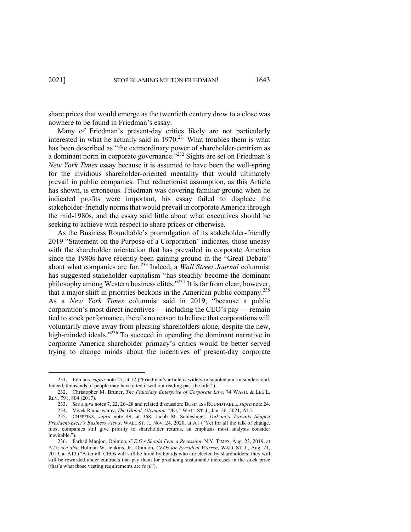share prices that would emerge as the twentieth century drew to a close was nowhere to be found in Friedman's essay.

Many of Friedman's present-day critics likely are not particularly interested in what he actually said in 1970. <sup>231</sup> What troubles them is what has been described as "the extraordinary power of shareholder-centrism as a dominant norm in corporate governance."232 Sights are set on Friedman's *New York Times* essay because it is assumed to have been the well-spring for the invidious shareholder-oriented mentality that would ultimately prevail in public companies. That reductionist assumption, as this Article has shown, is erroneous. Friedman was covering familiar ground when he indicated profits were important, his essay failed to displace the stakeholder-friendly norms that would prevail in corporate America through the mid-1980s, and the essay said little about what executives should be seeking to achieve with respect to share prices or otherwise.

As the Business Roundtable's promulgation of its stakeholder-friendly 2019 "Statement on the Purpose of a Corporation" indicates, those uneasy with the shareholder orientation that has prevailed in corporate America since the 1980s have recently been gaining ground in the "Great Debate" about what companies are for. <sup>233</sup> Indeed, a *Wall Street Journal* columnist has suggested stakeholder capitalism "has steadily become the dominant philosophy among Western business elites."<sup>234</sup> It is far from clear, however, that a major shift in priorities beckons in the American public company. 235 As a *New York Times* columnist said in 2019, "because a public corporation's most direct incentives — including the CEO's pay — remain tied to stock performance, there's no reason to believe that corporations will voluntarily move away from pleasing shareholders alone, despite the new, high-minded ideals."<sup>236</sup> To succeed in upending the dominant narrative in corporate America shareholder primacy's critics would be better served trying to change minds about the incentives of present-day corporate

<sup>231.</sup> Edmans, *supra* note 27, at 12 ("Friedman's article is widely misquoted and misunderstood. Indeed, thousands of people may have cited it without reading past the title.").

<sup>232.</sup> Christopher M. Bruner, *The Fiduciary Enterprise of Corporate Law*, 74 WASH. & LEE L. REV. 791, 804 (2017).

<sup>233.</sup> *See supra* notes 7, 22, 26–28 and related discussion; BUSINESS ROUNDTABLE, *supra* note 24.

<sup>234.</sup> Vivek Ramaswamy, *The Global, Olympian "We*,*"* WALL ST. J., Jan. 26, 2021, A15.

<sup>235.</sup> CHEFFINS, *supra* note 49, at 368; Jacob M. Schlesinger, *DuPont's Travails Shaped President-Elect's Business Views*, WALL ST. J., Nov. 24, 2020, at A1 ("Yet for all the talk of change, most companies still give priority to shareholder returns, an emphasis most analysts consider inevitable.")

<sup>236.</sup> Farhad Manjoo, Opinion, *C.E.O.s Should Fear a Recession*, N.Y. TIMES, Aug. 22, 2019, at A27; *see also* Holman W. Jenkins, Jr., Opinion, *CEOs for President Warren*, WALL ST. J., Aug. 21, 2019, at A13 ("After all, CEOs will still be hired by boards who are elected by shareholders; they will still be rewarded under contracts that pay them for producing sustainable increases in the stock price (that's what those vesting requirements are for).").